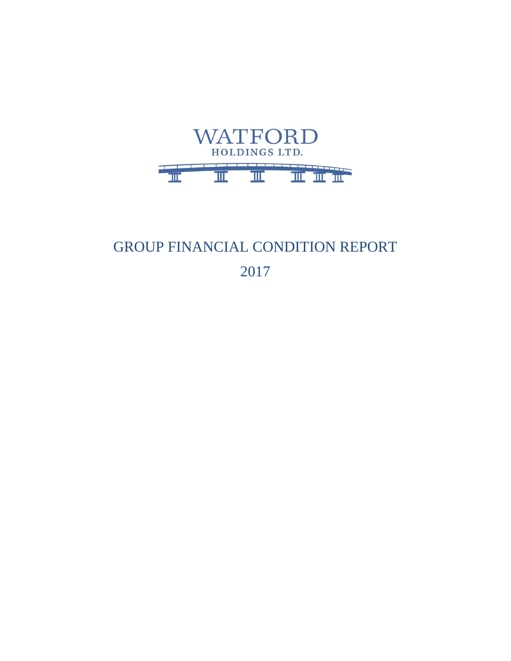

# GROUP FINANCIAL CONDITION REPORT 2017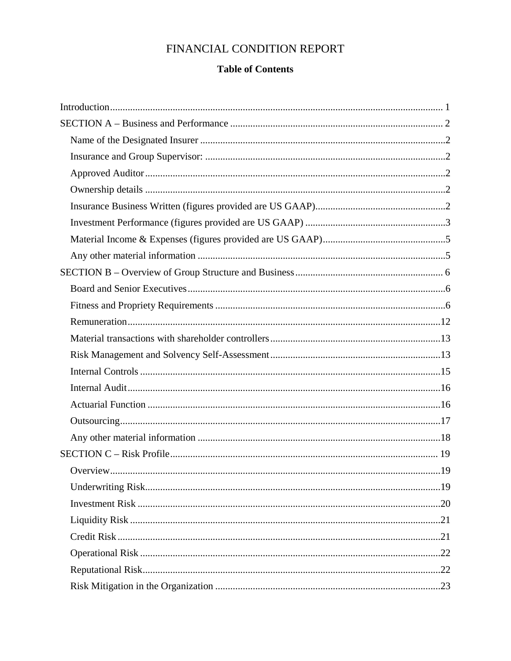# FINANCIAL CONDITION REPORT

## **Table of Contents**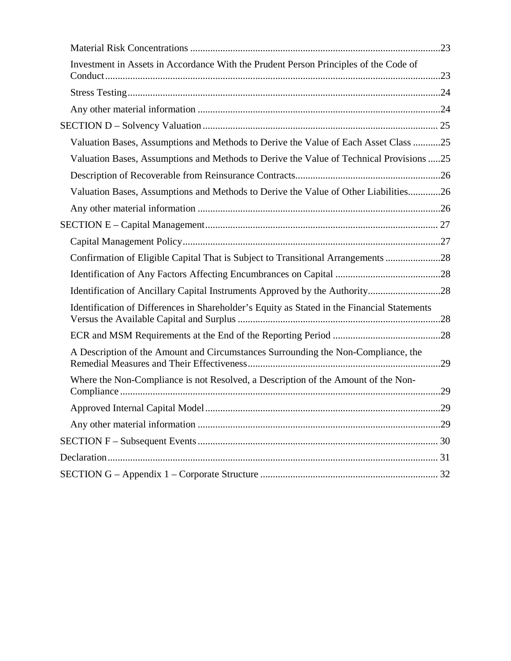| Investment in Assets in Accordance With the Prudent Person Principles of the Code of        |  |
|---------------------------------------------------------------------------------------------|--|
|                                                                                             |  |
|                                                                                             |  |
|                                                                                             |  |
| Valuation Bases, Assumptions and Methods to Derive the Value of Each Asset Class 25         |  |
| Valuation Bases, Assumptions and Methods to Derive the Value of Technical Provisions 25     |  |
|                                                                                             |  |
| Valuation Bases, Assumptions and Methods to Derive the Value of Other Liabilities26         |  |
|                                                                                             |  |
|                                                                                             |  |
|                                                                                             |  |
| Confirmation of Eligible Capital That is Subject to Transitional Arrangements 28            |  |
|                                                                                             |  |
| Identification of Ancillary Capital Instruments Approved by the Authority28                 |  |
| Identification of Differences in Shareholder's Equity as Stated in the Financial Statements |  |
|                                                                                             |  |
| A Description of the Amount and Circumstances Surrounding the Non-Compliance, the           |  |
| Where the Non-Compliance is not Resolved, a Description of the Amount of the Non-           |  |
|                                                                                             |  |
|                                                                                             |  |
|                                                                                             |  |
|                                                                                             |  |
|                                                                                             |  |
|                                                                                             |  |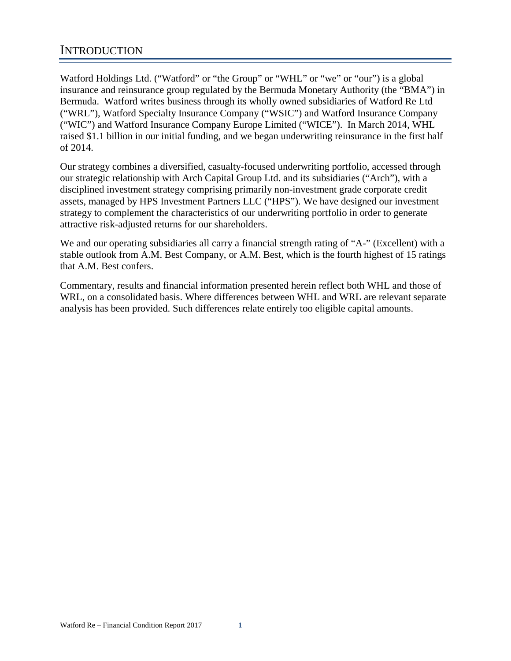<span id="page-3-0"></span>Watford Holdings Ltd. ("Watford" or "the Group" or "WHL" or "we" or "our") is a global insurance and reinsurance group regulated by the Bermuda Monetary Authority (the "BMA") in Bermuda. Watford writes business through its wholly owned subsidiaries of Watford Re Ltd ("WRL"), Watford Specialty Insurance Company ("WSIC") and Watford Insurance Company ("WIC") and Watford Insurance Company Europe Limited ("WICE"). In March 2014, WHL raised \$1.1 billion in our initial funding, and we began underwriting reinsurance in the first half of 2014.

Our strategy combines a diversified, casualty-focused underwriting portfolio, accessed through our strategic relationship with Arch Capital Group Ltd. and its subsidiaries ("Arch"), with a disciplined investment strategy comprising primarily non-investment grade corporate credit assets, managed by HPS Investment Partners LLC ("HPS"). We have designed our investment strategy to complement the characteristics of our underwriting portfolio in order to generate attractive risk-adjusted returns for our shareholders.

We and our operating subsidiaries all carry a financial strength rating of "A-" (Excellent) with a stable outlook from A.M. Best Company, or A.M. Best, which is the fourth highest of 15 ratings that A.M. Best confers.

Commentary, results and financial information presented herein reflect both WHL and those of WRL, on a consolidated basis. Where differences between WHL and WRL are relevant separate analysis has been provided. Such differences relate entirely too eligible capital amounts.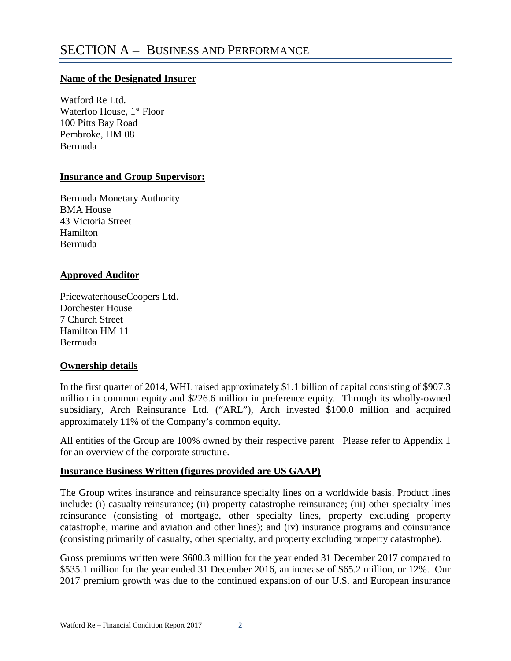## <span id="page-4-1"></span><span id="page-4-0"></span>**Name of the Designated Insurer**

Watford Re Ltd. Waterloo House, 1<sup>st</sup> Floor 100 Pitts Bay Road Pembroke, HM 08 Bermuda

## <span id="page-4-2"></span>**Insurance and Group Supervisor:**

Bermuda Monetary Authority BMA House 43 Victoria Street Hamilton Bermuda

## <span id="page-4-3"></span>**Approved Auditor**

PricewaterhouseCoopers Ltd. Dorchester House 7 Church Street Hamilton HM 11 Bermuda

## <span id="page-4-4"></span>**Ownership details**

In the first quarter of 2014, WHL raised approximately \$1.1 billion of capital consisting of \$907.3 million in common equity and \$226.6 million in preference equity. Through its wholly-owned subsidiary, Arch Reinsurance Ltd. ("ARL"), Arch invested \$100.0 million and acquired approximately 11% of the Company's common equity.

All entities of the Group are 100% owned by their respective parent Please refer to Appendix 1 for an overview of the corporate structure.

## <span id="page-4-5"></span>**Insurance Business Written (figures provided are US GAAP)**

The Group writes insurance and reinsurance specialty lines on a worldwide basis. Product lines include: (i) casualty reinsurance; (ii) property catastrophe reinsurance; (iii) other specialty lines reinsurance (consisting of mortgage, other specialty lines, property excluding property catastrophe, marine and aviation and other lines); and (iv) insurance programs and coinsurance (consisting primarily of casualty, other specialty, and property excluding property catastrophe).

Gross premiums written were \$600.3 million for the year ended 31 December 2017 compared to \$535.1 million for the year ended 31 December 2016, an increase of \$65.2 million, or 12%. Our 2017 premium growth was due to the continued expansion of our U.S. and European insurance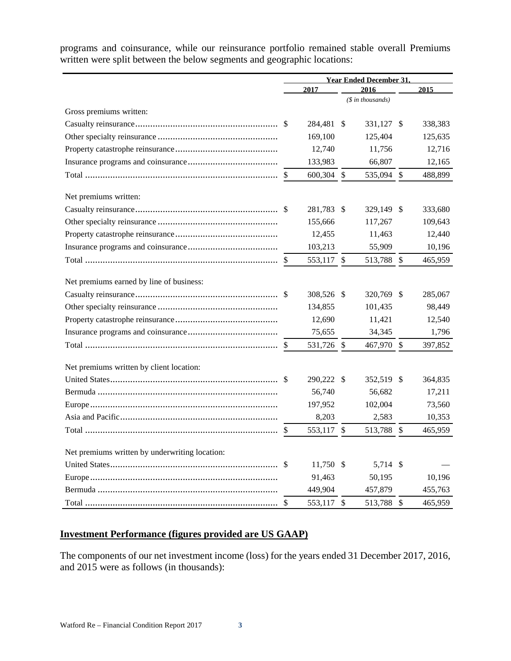|                                                | <b>Year Ended December 31</b> |            |    |                    |    |         |
|------------------------------------------------|-------------------------------|------------|----|--------------------|----|---------|
|                                                |                               | 2017       |    | 2016               |    | 2015    |
|                                                |                               |            |    | $($$ in thousands) |    |         |
| Gross premiums written:                        |                               |            |    |                    |    |         |
|                                                |                               | 284,481 \$ |    | 331,127 \$         |    | 338,383 |
|                                                |                               | 169,100    |    | 125,404            |    | 125,635 |
|                                                |                               | 12,740     |    | 11,756             |    | 12,716  |
|                                                |                               | 133,983    |    | 66,807             |    | 12,165  |
|                                                | <sup>\$</sup>                 | 600,304 \$ |    | 535,094 \$         |    | 488,899 |
| Net premiums written:                          |                               |            |    |                    |    |         |
|                                                |                               | 281,783 \$ |    | 329,149 \$         |    | 333,680 |
|                                                |                               | 155,666    |    | 117,267            |    | 109,643 |
|                                                |                               | 12,455     |    | 11,463             |    | 12,440  |
|                                                |                               | 103,213    |    | 55,909             |    | 10,196  |
|                                                | <sup>S</sup>                  | 553,117 \$ |    | 513,788 \$         |    | 465,959 |
| Net premiums earned by line of business:       |                               |            |    |                    |    |         |
|                                                |                               | 308,526 \$ |    | 320,769 \$         |    | 285,067 |
|                                                |                               | 134,855    |    | 101,435            |    | 98,449  |
|                                                |                               | 12,690     |    | 11,421             |    | 12,540  |
|                                                |                               | 75,655     |    | 34,345             |    | 1,796   |
|                                                | <sup>\$</sup>                 | 531,726 \$ |    | 467,970 \$         |    | 397,852 |
| Net premiums written by client location:       |                               |            |    |                    |    |         |
|                                                |                               | 290,222 \$ |    | 352,519 \$         |    | 364,835 |
|                                                |                               | 56,740     |    | 56,682             |    | 17,211  |
|                                                |                               | 197,952    |    | 102,004            |    | 73,560  |
|                                                |                               | 8,203      |    | 2,583              |    | 10,353  |
|                                                | S.                            | 553,117    | -S | 513,788            | -S | 465,959 |
| Net premiums written by underwriting location: |                               |            |    |                    |    |         |
|                                                |                               | 11,750 \$  |    | 5,714 \$           |    |         |
|                                                |                               | 91,463     |    | 50,195             |    | 10,196  |
|                                                |                               | 449,904    |    | 457,879            |    | 455,763 |
|                                                | $\sqrt[6]{\frac{1}{2}}$       | 553,117 \$ |    | 513,788 \$         |    | 465,959 |

programs and coinsurance, while our reinsurance portfolio remained stable overall Premiums written were split between the below segments and geographic locations:

## <span id="page-5-0"></span>**Investment Performance (figures provided are US GAAP)**

The components of our net investment income (loss) for the years ended 31 December 2017, 2016, and 2015 were as follows (in thousands):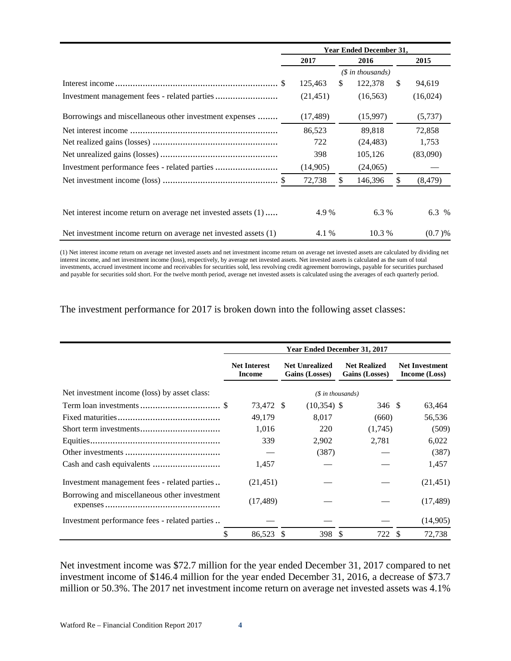|                                                                 | <b>Year Ended December 31,</b> |       |                     |     |           |
|-----------------------------------------------------------------|--------------------------------|-------|---------------------|-----|-----------|
|                                                                 | 2017                           |       | 2016                |     | 2015      |
|                                                                 |                                |       | $(\$$ in thousands) |     |           |
|                                                                 | 125,463                        | \$    | 122,378             | \$  | 94,619    |
| Investment management fees - related parties                    | (21, 451)                      |       | (16, 563)           |     | (16,024)  |
| Borrowings and miscellaneous other investment expenses          | (17, 489)                      |       | (15,997)            |     | (5,737)   |
|                                                                 | 86,523                         |       | 89,818              |     | 72,858    |
|                                                                 | 722                            |       | (24, 483)           |     | 1,753     |
|                                                                 | 398                            |       | 105,126             |     | (83,090)  |
| Investment performance fees - related parties                   | (14,905)                       |       | (24,065)            |     |           |
|                                                                 | 72,738                         | \$    | 146,396             | \$. | (8, 479)  |
| Net interest income return on average net invested assets (1)   |                                | 4.9%  | 6.3%                |     | 6.3 %     |
| Net investment income return on average net invested assets (1) |                                | 4.1 % | 10.3 %              |     | $(0.7)$ % |

(1) Net interest income return on average net invested assets and net investment income return on average net invested assets are calculated by dividing net interest income, and net investment income (loss), respectively, by average net invested assets. Net invested assets is calculated as the sum of total investments, accrued investment income and receivables for securities sold, less revolving credit agreement borrowings, payable for securities purchased and payable for securities sold short. For the twelve month period, average net invested assets is calculated using the averages of each quarterly period.

The investment performance for 2017 is broken down into the following asset classes:

|                                               | <b>Year Ended December 31, 2017</b>  |                                         |                                              |                                        |
|-----------------------------------------------|--------------------------------------|-----------------------------------------|----------------------------------------------|----------------------------------------|
|                                               | <b>Net Interest</b><br><b>Income</b> | <b>Net Unrealized</b><br>Gains (Losses) | <b>Net Realized</b><br><b>Gains (Losses)</b> | <b>Net Investment</b><br>Income (Loss) |
| Net investment income (loss) by asset class:  |                                      |                                         | $($$ in thousands)                           |                                        |
|                                               | 73,472 \$                            | $(10.354)$ \$                           | 346 \$                                       | 63,464                                 |
|                                               | 49,179                               | 8,017                                   | (660)                                        | 56,536                                 |
|                                               | 1,016                                | 220                                     | (1,745)                                      | (509)                                  |
|                                               | 339                                  | 2,902                                   | 2,781                                        | 6,022                                  |
|                                               |                                      | (387)                                   |                                              | (387)                                  |
|                                               | 1,457                                |                                         |                                              | 1,457                                  |
| Investment management fees - related parties  | (21, 451)                            |                                         |                                              | (21, 451)                              |
| Borrowing and miscellaneous other investment  | (17, 489)                            |                                         |                                              | (17, 489)                              |
| Investment performance fees - related parties |                                      |                                         |                                              | (14,905)                               |
| \$                                            | 86,523                               | 398                                     | -S<br>722                                    | 72,738<br>-\$                          |

Net investment income was \$72.7 million for the year ended December 31, 2017 compared to net investment income of \$146.4 million for the year ended December 31, 2016, a decrease of \$73.7 million or 50.3%. The 2017 net investment income return on average net invested assets was 4.1%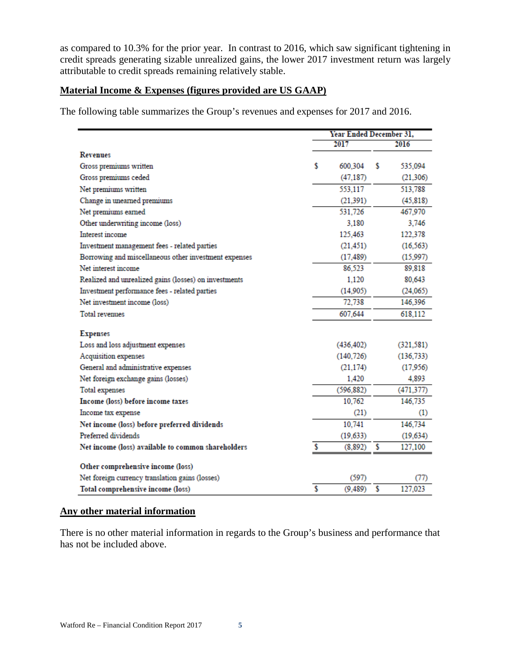as compared to 10.3% for the prior year. In contrast to 2016, which saw significant tightening in credit spreads generating sizable unrealized gains, the lower 2017 investment return was largely attributable to credit spreads remaining relatively stable.

## <span id="page-7-0"></span>**Material Income & Expenses (figures provided are US GAAP)**

The following table summarizes the Group's revenues and expenses for 2017 and 2016.

|                                                       | Year Ended December 31, |            |    |            |
|-------------------------------------------------------|-------------------------|------------|----|------------|
|                                                       | 2017                    |            |    | 2016       |
| Revenues                                              |                         |            |    |            |
| Gross premiums written                                | \$                      | 600,304    | s  | 535,094    |
| Gross premiums ceded                                  |                         | (47, 187)  |    | (21, 306)  |
| Net premiums written                                  |                         | 553,117    |    | 513,788    |
| Change in unearned premiums                           |                         | (21, 391)  |    | (45, 818)  |
| Net premiums earned                                   |                         | 531,726    |    | 467,970    |
| Other underwriting income (loss)                      |                         | 3,180      |    | 3,746      |
| Interest income                                       |                         | 125,463    |    | 122,378    |
| Investment management fees - related parties          |                         | (21, 451)  |    | (16, 563)  |
| Borrowing and miscellaneous other investment expenses |                         | (17, 489)  |    | (15,997)   |
| Net interest income                                   |                         | 86,523     |    | 89,818     |
| Realized and unrealized gains (losses) on investments |                         | 1,120      |    | 80.643     |
| Investment performance fees - related parties         |                         | (14,905)   |    | (24,065)   |
| Net investment income (loss)                          |                         | 72,738     |    | 146,396    |
| <b>Total revenues</b>                                 |                         | 607.644    |    | 618,112    |
| <b>Expenses</b>                                       |                         |            |    |            |
| Loss and loss adjustment expenses                     |                         | (436, 402) |    | (321, 581) |
| Acquisition expenses                                  |                         | (140, 726) |    | (136, 733) |
| General and administrative expenses                   |                         | (21, 174)  |    | (17,956)   |
| Net foreign exchange gains (losses)                   |                         | 1,420      |    | 4,893      |
| Total expenses                                        |                         | (596, 882) |    | (471, 377) |
| Income (loss) before income taxes                     |                         | 10,762     |    | 146,735    |
| Income tax expense                                    |                         | (21)       |    | (1)        |
| Net income (loss) before preferred dividends          |                         | 10,741     |    | 146,734    |
| Preferred dividends                                   |                         | (19, 633)  |    | (19, 634)  |
| Net income (loss) available to common shareholders    | \$                      | (8, 892)   | S  | 127,100    |
| Other comprehensive income (loss)                     |                         |            |    |            |
| Net foreign currency translation gains (losses)       |                         | (597)      |    | (77)       |
| Total comprehensive income (loss)                     | \$                      | (9,489)    | \$ | 127,023    |

## <span id="page-7-1"></span>**Any other material information**

There is no other material information in regards to the Group's business and performance that has not be included above.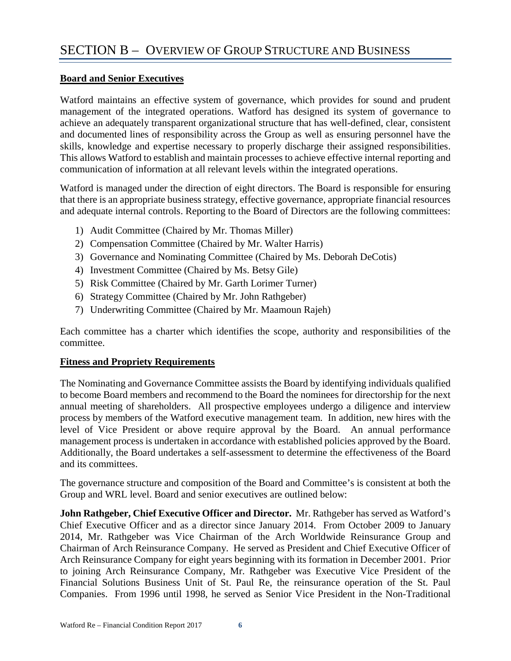## <span id="page-8-1"></span><span id="page-8-0"></span>**Board and Senior Executives**

Watford maintains an effective system of governance, which provides for sound and prudent management of the integrated operations. Watford has designed its system of governance to achieve an adequately transparent organizational structure that has well-defined, clear, consistent and documented lines of responsibility across the Group as well as ensuring personnel have the skills, knowledge and expertise necessary to properly discharge their assigned responsibilities. This allows Watford to establish and maintain processes to achieve effective internal reporting and communication of information at all relevant levels within the integrated operations.

Watford is managed under the direction of eight directors. The Board is responsible for ensuring that there is an appropriate business strategy, effective governance, appropriate financial resources and adequate internal controls. Reporting to the Board of Directors are the following committees:

- 1) Audit Committee (Chaired by Mr. Thomas Miller)
- 2) Compensation Committee (Chaired by Mr. Walter Harris)
- 3) Governance and Nominating Committee (Chaired by Ms. Deborah DeCotis)
- 4) Investment Committee (Chaired by Ms. Betsy Gile)
- 5) Risk Committee (Chaired by Mr. Garth Lorimer Turner)
- 6) Strategy Committee (Chaired by Mr. John Rathgeber)
- 7) Underwriting Committee (Chaired by Mr. Maamoun Rajeh)

Each committee has a charter which identifies the scope, authority and responsibilities of the committee.

## <span id="page-8-2"></span>**Fitness and Propriety Requirements**

The Nominating and Governance Committee assists the Board by identifying individuals qualified to become Board members and recommend to the Board the nominees for directorship for the next annual meeting of shareholders. All prospective employees undergo a diligence and interview process by members of the Watford executive management team. In addition, new hires with the level of Vice President or above require approval by the Board. An annual performance management process is undertaken in accordance with established policies approved by the Board. Additionally, the Board undertakes a self-assessment to determine the effectiveness of the Board and its committees.

The governance structure and composition of the Board and Committee's is consistent at both the Group and WRL level. Board and senior executives are outlined below:

**John Rathgeber, Chief Executive Officer and Director.** Mr. Rathgeber has served as Watford's Chief Executive Officer and as a director since January 2014. From October 2009 to January 2014, Mr. Rathgeber was Vice Chairman of the Arch Worldwide Reinsurance Group and Chairman of Arch Reinsurance Company. He served as President and Chief Executive Officer of Arch Reinsurance Company for eight years beginning with its formation in December 2001. Prior to joining Arch Reinsurance Company, Mr. Rathgeber was Executive Vice President of the Financial Solutions Business Unit of St. Paul Re, the reinsurance operation of the St. Paul Companies. From 1996 until 1998, he served as Senior Vice President in the Non-Traditional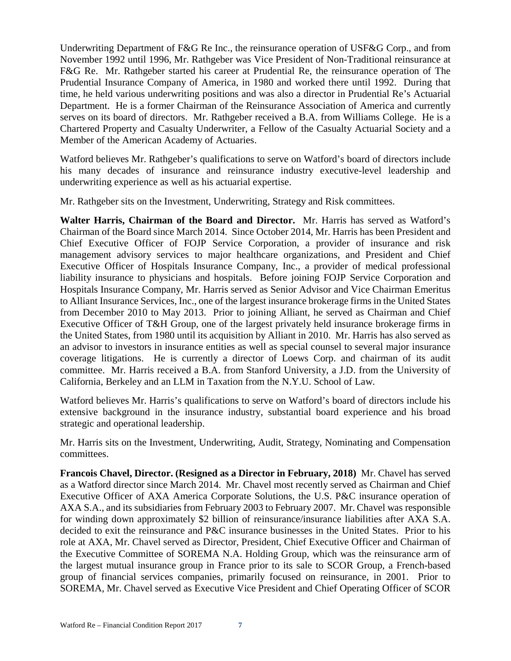Underwriting Department of F&G Re Inc., the reinsurance operation of USF&G Corp., and from November 1992 until 1996, Mr. Rathgeber was Vice President of Non-Traditional reinsurance at F&G Re. Mr. Rathgeber started his career at Prudential Re, the reinsurance operation of The Prudential Insurance Company of America, in 1980 and worked there until 1992. During that time, he held various underwriting positions and was also a director in Prudential Re's Actuarial Department. He is a former Chairman of the Reinsurance Association of America and currently serves on its board of directors. Mr. Rathgeber received a B.A. from Williams College. He is a Chartered Property and Casualty Underwriter, a Fellow of the Casualty Actuarial Society and a Member of the American Academy of Actuaries.

Watford believes Mr. Rathgeber's qualifications to serve on Watford's board of directors include his many decades of insurance and reinsurance industry executive-level leadership and underwriting experience as well as his actuarial expertise.

Mr. Rathgeber sits on the Investment, Underwriting, Strategy and Risk committees.

**Walter Harris, Chairman of the Board and Director.** Mr. Harris has served as Watford's Chairman of the Board since March 2014. Since October 2014, Mr. Harris has been President and Chief Executive Officer of FOJP Service Corporation, a provider of insurance and risk management advisory services to major healthcare organizations, and President and Chief Executive Officer of Hospitals Insurance Company, Inc., a provider of medical professional liability insurance to physicians and hospitals. Before joining FOJP Service Corporation and Hospitals Insurance Company, Mr. Harris served as Senior Advisor and Vice Chairman Emeritus to Alliant Insurance Services, Inc., one of the largest insurance brokerage firms in the United States from December 2010 to May 2013. Prior to joining Alliant, he served as Chairman and Chief Executive Officer of T&H Group, one of the largest privately held insurance brokerage firms in the United States, from 1980 until its acquisition by Alliant in 2010. Mr. Harris has also served as an advisor to investors in insurance entities as well as special counsel to several major insurance coverage litigations. He is currently a director of Loews Corp. and chairman of its audit committee. Mr. Harris received a B.A. from Stanford University, a J.D. from the University of California, Berkeley and an LLM in Taxation from the N.Y.U. School of Law.

Watford believes Mr. Harris's qualifications to serve on Watford's board of directors include his extensive background in the insurance industry, substantial board experience and his broad strategic and operational leadership.

Mr. Harris sits on the Investment, Underwriting, Audit, Strategy, Nominating and Compensation committees.

**Francois Chavel, Director. (Resigned as a Director in February, 2018)** Mr. Chavel has served as a Watford director since March 2014. Mr. Chavel most recently served as Chairman and Chief Executive Officer of AXA America Corporate Solutions, the U.S. P&C insurance operation of AXA S.A., and its subsidiaries from February 2003 to February 2007. Mr. Chavel was responsible for winding down approximately \$2 billion of reinsurance/insurance liabilities after AXA S.A. decided to exit the reinsurance and P&C insurance businesses in the United States. Prior to his role at AXA, Mr. Chavel served as Director, President, Chief Executive Officer and Chairman of the Executive Committee of SOREMA N.A. Holding Group, which was the reinsurance arm of the largest mutual insurance group in France prior to its sale to SCOR Group, a French-based group of financial services companies, primarily focused on reinsurance, in 2001. Prior to SOREMA, Mr. Chavel served as Executive Vice President and Chief Operating Officer of SCOR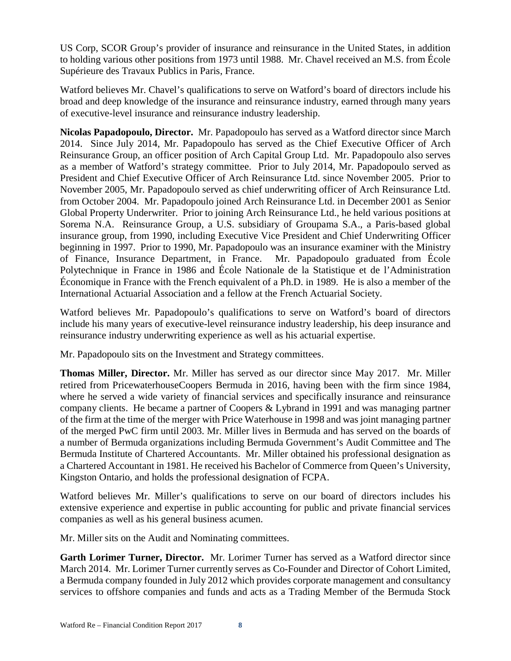US Corp, SCOR Group's provider of insurance and reinsurance in the United States, in addition to holding various other positions from 1973 until 1988. Mr. Chavel received an M.S. from École Supérieure des Travaux Publics in Paris, France.

Watford believes Mr. Chavel's qualifications to serve on Watford's board of directors include his broad and deep knowledge of the insurance and reinsurance industry, earned through many years of executive-level insurance and reinsurance industry leadership.

**Nicolas Papadopoulo, Director.** Mr. Papadopoulo has served as a Watford director since March 2014. Since July 2014, Mr. Papadopoulo has served as the Chief Executive Officer of Arch Reinsurance Group, an officer position of Arch Capital Group Ltd. Mr. Papadopoulo also serves as a member of Watford's strategy committee. Prior to July 2014, Mr. Papadopoulo served as President and Chief Executive Officer of Arch Reinsurance Ltd. since November 2005. Prior to November 2005, Mr. Papadopoulo served as chief underwriting officer of Arch Reinsurance Ltd. from October 2004. Mr. Papadopoulo joined Arch Reinsurance Ltd. in December 2001 as Senior Global Property Underwriter. Prior to joining Arch Reinsurance Ltd., he held various positions at Sorema N.A. Reinsurance Group, a U.S. subsidiary of Groupama S.A., a Paris-based global insurance group, from 1990, including Executive Vice President and Chief Underwriting Officer beginning in 1997. Prior to 1990, Mr. Papadopoulo was an insurance examiner with the Ministry of Finance, Insurance Department, in France. Mr. Papadopoulo graduated from École Polytechnique in France in 1986 and École Nationale de la Statistique et de l'Administration Économique in France with the French equivalent of a Ph.D. in 1989. He is also a member of the International Actuarial Association and a fellow at the French Actuarial Society.

Watford believes Mr. Papadopoulo's qualifications to serve on Watford's board of directors include his many years of executive-level reinsurance industry leadership, his deep insurance and reinsurance industry underwriting experience as well as his actuarial expertise.

Mr. Papadopoulo sits on the Investment and Strategy committees.

**Thomas Miller, Director.** Mr. Miller has served as our director since May 2017. Mr. Miller retired from PricewaterhouseCoopers Bermuda in 2016, having been with the firm since 1984, where he served a wide variety of financial services and specifically insurance and reinsurance company clients. He became a partner of Coopers & Lybrand in 1991 and was managing partner of the firm at the time of the merger with Price Waterhouse in 1998 and was joint managing partner of the merged PwC firm until 2003. Mr. Miller lives in Bermuda and has served on the boards of a number of Bermuda organizations including Bermuda Government's Audit Committee and The Bermuda Institute of Chartered Accountants. Mr. Miller obtained his professional designation as a Chartered Accountant in 1981. He received his Bachelor of Commerce from Queen's University, Kingston Ontario, and holds the professional designation of FCPA.

Watford believes Mr. Miller's qualifications to serve on our board of directors includes his extensive experience and expertise in public accounting for public and private financial services companies as well as his general business acumen.

Mr. Miller sits on the Audit and Nominating committees.

**Garth Lorimer Turner, Director.** Mr. Lorimer Turner has served as a Watford director since March 2014. Mr. Lorimer Turner currently serves as Co-Founder and Director of Cohort Limited, a Bermuda company founded in July 2012 which provides corporate management and consultancy services to offshore companies and funds and acts as a Trading Member of the Bermuda Stock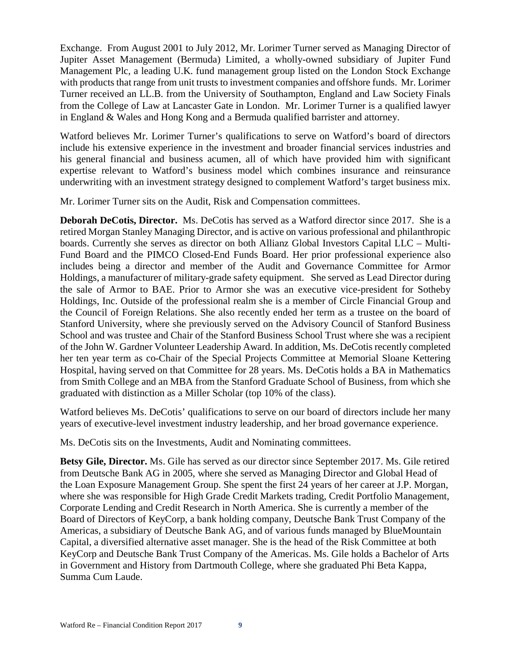Exchange. From August 2001 to July 2012, Mr. Lorimer Turner served as Managing Director of Jupiter Asset Management (Bermuda) Limited, a wholly-owned subsidiary of Jupiter Fund Management Plc, a leading U.K. fund management group listed on the London Stock Exchange with products that range from unit trusts to investment companies and offshore funds. Mr. Lorimer Turner received an LL.B. from the University of Southampton, England and Law Society Finals from the College of Law at Lancaster Gate in London. Mr. Lorimer Turner is a qualified lawyer in England & Wales and Hong Kong and a Bermuda qualified barrister and attorney.

Watford believes Mr. Lorimer Turner's qualifications to serve on Watford's board of directors include his extensive experience in the investment and broader financial services industries and his general financial and business acumen, all of which have provided him with significant expertise relevant to Watford's business model which combines insurance and reinsurance underwriting with an investment strategy designed to complement Watford's target business mix.

Mr. Lorimer Turner sits on the Audit, Risk and Compensation committees.

**Deborah DeCotis, Director.** Ms. DeCotis has served as a Watford director since 2017. She is a retired Morgan Stanley Managing Director, and is active on various professional and philanthropic boards. Currently she serves as director on both Allianz Global Investors Capital LLC – Multi-Fund Board and the PIMCO Closed-End Funds Board. Her prior professional experience also includes being a director and member of the Audit and Governance Committee for Armor Holdings, a manufacturer of military-grade safety equipment. She served as Lead Director during the sale of Armor to BAE. Prior to Armor she was an executive vice-president for Sotheby Holdings, Inc. Outside of the professional realm she is a member of Circle Financial Group and the Council of Foreign Relations. She also recently ended her term as a trustee on the board of Stanford University, where she previously served on the Advisory Council of Stanford Business School and was trustee and Chair of the Stanford Business School Trust where she was a recipient of the John W. Gardner Volunteer Leadership Award. In addition, Ms. DeCotis recently completed her ten year term as co-Chair of the Special Projects Committee at Memorial Sloane Kettering Hospital, having served on that Committee for 28 years. Ms. DeCotis holds a BA in Mathematics from Smith College and an MBA from the Stanford Graduate School of Business, from which she graduated with distinction as a Miller Scholar (top 10% of the class).

Watford believes Ms. DeCotis' qualifications to serve on our board of directors include her many years of executive-level investment industry leadership, and her broad governance experience.

Ms. DeCotis sits on the Investments, Audit and Nominating committees.

**Betsy Gile, Director.** Ms. Gile has served as our director since September 2017. Ms. Gile retired from Deutsche Bank AG in 2005, where she served as Managing Director and Global Head of the Loan Exposure Management Group. She spent the first 24 years of her career at J.P. Morgan, where she was responsible for High Grade Credit Markets trading, Credit Portfolio Management, Corporate Lending and Credit Research in North America. She is currently a member of the Board of Directors of KeyCorp, a bank holding company, Deutsche Bank Trust Company of the Americas, a subsidiary of Deutsche Bank AG, and of various funds managed by BlueMountain Capital, a diversified alternative asset manager. She is the head of the Risk Committee at both KeyCorp and Deutsche Bank Trust Company of the Americas. Ms. Gile holds a Bachelor of Arts in Government and History from Dartmouth College, where she graduated Phi Beta Kappa, Summa Cum Laude.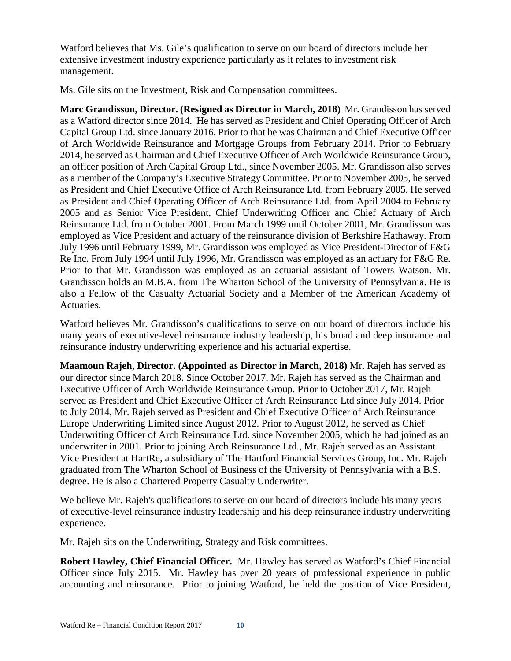Watford believes that Ms. Gile's qualification to serve on our board of directors include her extensive investment industry experience particularly as it relates to investment risk management.

Ms. Gile sits on the Investment, Risk and Compensation committees.

**Marc Grandisson, Director. (Resigned as Director in March, 2018)** Mr. Grandisson has served as a Watford director since 2014. He has served as President and Chief Operating Officer of Arch Capital Group Ltd. since January 2016. Prior to that he was Chairman and Chief Executive Officer of Arch Worldwide Reinsurance and Mortgage Groups from February 2014. Prior to February 2014, he served as Chairman and Chief Executive Officer of Arch Worldwide Reinsurance Group, an officer position of Arch Capital Group Ltd., since November 2005. Mr. Grandisson also serves as a member of the Company's Executive Strategy Committee. Prior to November 2005, he served as President and Chief Executive Office of Arch Reinsurance Ltd. from February 2005. He served as President and Chief Operating Officer of Arch Reinsurance Ltd. from April 2004 to February 2005 and as Senior Vice President, Chief Underwriting Officer and Chief Actuary of Arch Reinsurance Ltd. from October 2001. From March 1999 until October 2001, Mr. Grandisson was employed as Vice President and actuary of the reinsurance division of Berkshire Hathaway. From July 1996 until February 1999, Mr. Grandisson was employed as Vice President-Director of F&G Re Inc. From July 1994 until July 1996, Mr. Grandisson was employed as an actuary for F&G Re. Prior to that Mr. Grandisson was employed as an actuarial assistant of Towers Watson. Mr. Grandisson holds an M.B.A. from The Wharton School of the University of Pennsylvania. He is also a Fellow of the Casualty Actuarial Society and a Member of the American Academy of Actuaries.

Watford believes Mr. Grandisson's qualifications to serve on our board of directors include his many years of executive-level reinsurance industry leadership, his broad and deep insurance and reinsurance industry underwriting experience and his actuarial expertise.

**Maamoun Rajeh, Director. (Appointed as Director in March, 2018)** Mr. Rajeh has served as our director since March 2018. Since October 2017, Mr. Rajeh has served as the Chairman and Executive Officer of Arch Worldwide Reinsurance Group. Prior to October 2017, Mr. Rajeh served as President and Chief Executive Officer of Arch Reinsurance Ltd since July 2014. Prior to July 2014, Mr. Rajeh served as President and Chief Executive Officer of Arch Reinsurance Europe Underwriting Limited since August 2012. Prior to August 2012, he served as Chief Underwriting Officer of Arch Reinsurance Ltd. since November 2005, which he had joined as an underwriter in 2001. Prior to joining Arch Reinsurance Ltd., Mr. Rajeh served as an Assistant Vice President at HartRe, a subsidiary of The Hartford Financial Services Group, Inc. Mr. Rajeh graduated from The Wharton School of Business of the University of Pennsylvania with a B.S. degree. He is also a Chartered Property Casualty Underwriter.

We believe Mr. Rajeh's qualifications to serve on our board of directors include his many years of executive-level reinsurance industry leadership and his deep reinsurance industry underwriting experience.

Mr. Rajeh sits on the Underwriting, Strategy and Risk committees.

**Robert Hawley, Chief Financial Officer.** Mr. Hawley has served as Watford's Chief Financial Officer since July 2015. Mr. Hawley has over 20 years of professional experience in public accounting and reinsurance. Prior to joining Watford, he held the position of Vice President,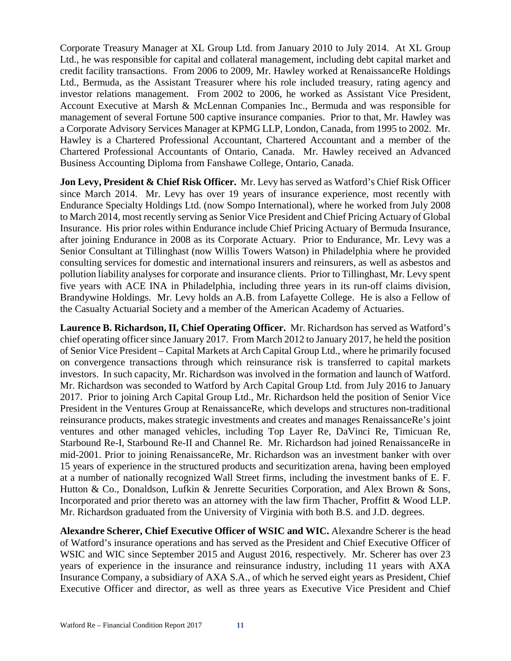Corporate Treasury Manager at XL Group Ltd. from January 2010 to July 2014. At XL Group Ltd., he was responsible for capital and collateral management, including debt capital market and credit facility transactions. From 2006 to 2009, Mr. Hawley worked at RenaissanceRe Holdings Ltd., Bermuda, as the Assistant Treasurer where his role included treasury, rating agency and investor relations management. From 2002 to 2006, he worked as Assistant Vice President, Account Executive at Marsh & McLennan Companies Inc., Bermuda and was responsible for management of several Fortune 500 captive insurance companies. Prior to that, Mr. Hawley was a Corporate Advisory Services Manager at KPMG LLP, London, Canada, from 1995 to 2002. Mr. Hawley is a Chartered Professional Accountant, Chartered Accountant and a member of the Chartered Professional Accountants of Ontario, Canada. Mr. Hawley received an Advanced Business Accounting Diploma from Fanshawe College, Ontario, Canada.

**Jon Levy, President & Chief Risk Officer.** Mr. Levy has served as Watford's Chief Risk Officer since March 2014. Mr. Levy has over 19 years of insurance experience, most recently with Endurance Specialty Holdings Ltd. (now Sompo International), where he worked from July 2008 to March 2014, most recently serving as Senior Vice President and Chief Pricing Actuary of Global Insurance. His prior roles within Endurance include Chief Pricing Actuary of Bermuda Insurance, after joining Endurance in 2008 as its Corporate Actuary. Prior to Endurance, Mr. Levy was a Senior Consultant at Tillinghast (now Willis Towers Watson) in Philadelphia where he provided consulting services for domestic and international insurers and reinsurers, as well as asbestos and pollution liability analyses for corporate and insurance clients. Prior to Tillinghast, Mr. Levy spent five years with ACE INA in Philadelphia, including three years in its run-off claims division, Brandywine Holdings. Mr. Levy holds an A.B. from Lafayette College. He is also a Fellow of the Casualty Actuarial Society and a member of the American Academy of Actuaries.

**Laurence B. Richardson, II, Chief Operating Officer.** Mr. Richardson has served as Watford's chief operating officer since January 2017. From March 2012 to January 2017, he held the position of Senior Vice President – Capital Markets at Arch Capital Group Ltd., where he primarily focused on convergence transactions through which reinsurance risk is transferred to capital markets investors. In such capacity, Mr. Richardson was involved in the formation and launch of Watford. Mr. Richardson was seconded to Watford by Arch Capital Group Ltd. from July 2016 to January 2017. Prior to joining Arch Capital Group Ltd., Mr. Richardson held the position of Senior Vice President in the Ventures Group at RenaissanceRe, which develops and structures non-traditional reinsurance products, makes strategic investments and creates and manages RenaissanceRe's joint ventures and other managed vehicles, including Top Layer Re, DaVinci Re, Timicuan Re, Starbound Re-I, Starbound Re-II and Channel Re. Mr. Richardson had joined RenaissanceRe in mid-2001. Prior to joining RenaissanceRe, Mr. Richardson was an investment banker with over 15 years of experience in the structured products and securitization arena, having been employed at a number of nationally recognized Wall Street firms, including the investment banks of E. F. Hutton & Co., Donaldson, Lufkin & Jenrette Securities Corporation, and Alex Brown & Sons, Incorporated and prior thereto was an attorney with the law firm Thacher, Proffitt & Wood LLP. Mr. Richardson graduated from the University of Virginia with both B.S. and J.D. degrees.

**Alexandre Scherer, Chief Executive Officer of WSIC and WIC.** Alexandre Scherer is the head of Watford's insurance operations and has served as the President and Chief Executive Officer of WSIC and WIC since September 2015 and August 2016, respectively. Mr. Scherer has over 23 years of experience in the insurance and reinsurance industry, including 11 years with AXA Insurance Company, a subsidiary of AXA S.A., of which he served eight years as President, Chief Executive Officer and director, as well as three years as Executive Vice President and Chief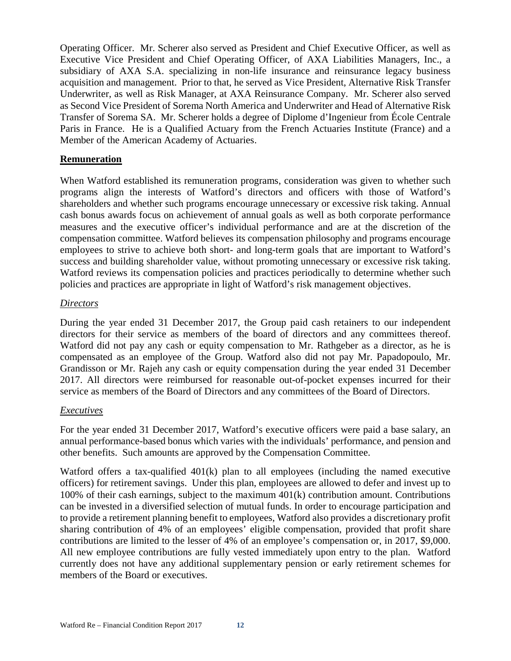Operating Officer. Mr. Scherer also served as President and Chief Executive Officer, as well as Executive Vice President and Chief Operating Officer, of AXA Liabilities Managers, Inc., a subsidiary of AXA S.A. specializing in non-life insurance and reinsurance legacy business acquisition and management. Prior to that, he served as Vice President, Alternative Risk Transfer Underwriter, as well as Risk Manager, at AXA Reinsurance Company. Mr. Scherer also served as Second Vice President of Sorema North America and Underwriter and Head of Alternative Risk Transfer of Sorema SA. Mr. Scherer holds a degree of Diplome d'Ingenieur from École Centrale Paris in France. He is a Qualified Actuary from the French Actuaries Institute (France) and a Member of the American Academy of Actuaries.

## <span id="page-14-0"></span>**Remuneration**

When Watford established its remuneration programs, consideration was given to whether such programs align the interests of Watford's directors and officers with those of Watford's shareholders and whether such programs encourage unnecessary or excessive risk taking. Annual cash bonus awards focus on achievement of annual goals as well as both corporate performance measures and the executive officer's individual performance and are at the discretion of the compensation committee. Watford believes its compensation philosophy and programs encourage employees to strive to achieve both short- and long-term goals that are important to Watford's success and building shareholder value, without promoting unnecessary or excessive risk taking. Watford reviews its compensation policies and practices periodically to determine whether such policies and practices are appropriate in light of Watford's risk management objectives.

#### *Directors*

During the year ended 31 December 2017, the Group paid cash retainers to our independent directors for their service as members of the board of directors and any committees thereof. Watford did not pay any cash or equity compensation to Mr. Rathgeber as a director, as he is compensated as an employee of the Group. Watford also did not pay Mr. Papadopoulo, Mr. Grandisson or Mr. Rajeh any cash or equity compensation during the year ended 31 December 2017. All directors were reimbursed for reasonable out-of-pocket expenses incurred for their service as members of the Board of Directors and any committees of the Board of Directors.

#### *Executives*

For the year ended 31 December 2017, Watford's executive officers were paid a base salary, an annual performance-based bonus which varies with the individuals' performance, and pension and other benefits. Such amounts are approved by the Compensation Committee.

Watford offers a tax-qualified 401(k) plan to all employees (including the named executive officers) for retirement savings. Under this plan, employees are allowed to defer and invest up to 100% of their cash earnings, subject to the maximum 401(k) contribution amount. Contributions can be invested in a diversified selection of mutual funds. In order to encourage participation and to provide a retirement planning benefit to employees, Watford also provides a discretionary profit sharing contribution of 4% of an employees' eligible compensation, provided that profit share contributions are limited to the lesser of 4% of an employee's compensation or, in 2017, \$9,000. All new employee contributions are fully vested immediately upon entry to the plan. Watford currently does not have any additional supplementary pension or early retirement schemes for members of the Board or executives.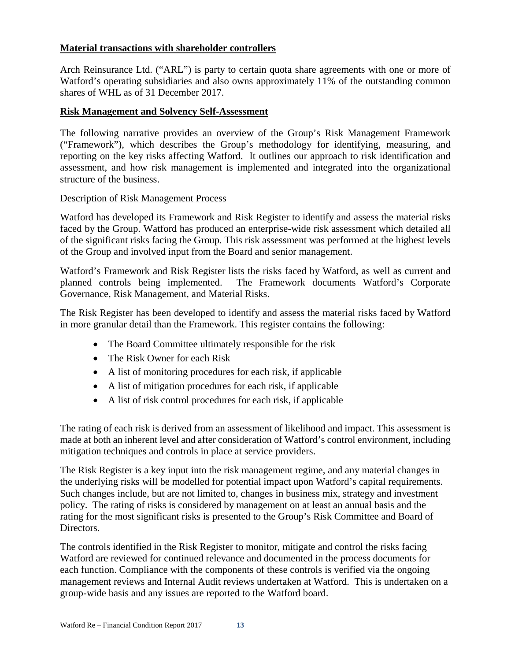## <span id="page-15-0"></span>**Material transactions with shareholder controllers**

Arch Reinsurance Ltd. ("ARL") is party to certain quota share agreements with one or more of Watford's operating subsidiaries and also owns approximately 11% of the outstanding common shares of WHL as of 31 December 2017.

#### <span id="page-15-1"></span>**Risk Management and Solvency Self-Assessment**

The following narrative provides an overview of the Group's Risk Management Framework ("Framework"), which describes the Group's methodology for identifying, measuring, and reporting on the key risks affecting Watford. It outlines our approach to risk identification and assessment, and how risk management is implemented and integrated into the organizational structure of the business.

#### Description of Risk Management Process

Watford has developed its Framework and Risk Register to identify and assess the material risks faced by the Group. Watford has produced an enterprise-wide risk assessment which detailed all of the significant risks facing the Group. This risk assessment was performed at the highest levels of the Group and involved input from the Board and senior management.

Watford's Framework and Risk Register lists the risks faced by Watford, as well as current and planned controls being implemented. The Framework documents Watford's Corporate Governance, Risk Management, and Material Risks.

The Risk Register has been developed to identify and assess the material risks faced by Watford in more granular detail than the Framework. This register contains the following:

- The Board Committee ultimately responsible for the risk
- The Risk Owner for each Risk
- A list of monitoring procedures for each risk, if applicable
- A list of mitigation procedures for each risk, if applicable
- A list of risk control procedures for each risk, if applicable

The rating of each risk is derived from an assessment of likelihood and impact. This assessment is made at both an inherent level and after consideration of Watford's control environment, including mitigation techniques and controls in place at service providers.

The Risk Register is a key input into the risk management regime, and any material changes in the underlying risks will be modelled for potential impact upon Watford's capital requirements. Such changes include, but are not limited to, changes in business mix, strategy and investment policy. The rating of risks is considered by management on at least an annual basis and the rating for the most significant risks is presented to the Group's Risk Committee and Board of Directors.

The controls identified in the Risk Register to monitor, mitigate and control the risks facing Watford are reviewed for continued relevance and documented in the process documents for each function. Compliance with the components of these controls is verified via the ongoing management reviews and Internal Audit reviews undertaken at Watford. This is undertaken on a group-wide basis and any issues are reported to the Watford board.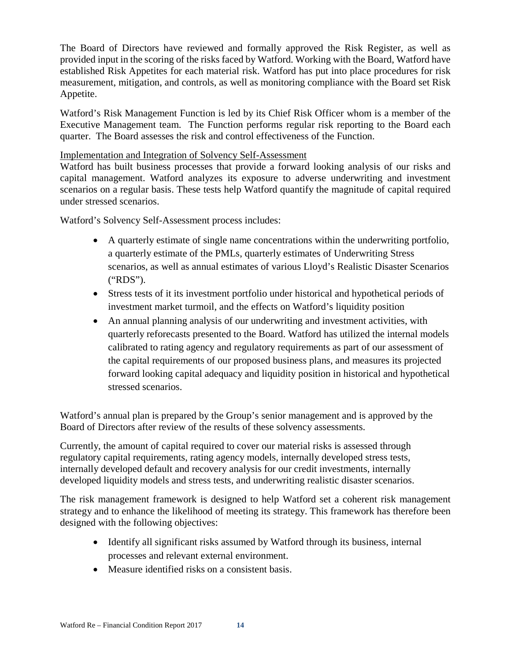The Board of Directors have reviewed and formally approved the Risk Register, as well as provided input in the scoring of the risks faced by Watford. Working with the Board, Watford have established Risk Appetites for each material risk. Watford has put into place procedures for risk measurement, mitigation, and controls, as well as monitoring compliance with the Board set Risk Appetite.

Watford's Risk Management Function is led by its Chief Risk Officer whom is a member of the Executive Management team. The Function performs regular risk reporting to the Board each quarter. The Board assesses the risk and control effectiveness of the Function.

#### Implementation and Integration of Solvency Self-Assessment

Watford has built business processes that provide a forward looking analysis of our risks and capital management. Watford analyzes its exposure to adverse underwriting and investment scenarios on a regular basis. These tests help Watford quantify the magnitude of capital required under stressed scenarios.

Watford's Solvency Self-Assessment process includes:

- A quarterly estimate of single name concentrations within the underwriting portfolio, a quarterly estimate of the PMLs, quarterly estimates of Underwriting Stress scenarios, as well as annual estimates of various Lloyd's Realistic Disaster Scenarios ("RDS").
- Stress tests of it its investment portfolio under historical and hypothetical periods of investment market turmoil, and the effects on Watford's liquidity position
- An annual planning analysis of our underwriting and investment activities, with quarterly reforecasts presented to the Board. Watford has utilized the internal models calibrated to rating agency and regulatory requirements as part of our assessment of the capital requirements of our proposed business plans, and measures its projected forward looking capital adequacy and liquidity position in historical and hypothetical stressed scenarios.

Watford's annual plan is prepared by the Group's senior management and is approved by the Board of Directors after review of the results of these solvency assessments.

Currently, the amount of capital required to cover our material risks is assessed through regulatory capital requirements, rating agency models, internally developed stress tests, internally developed default and recovery analysis for our credit investments, internally developed liquidity models and stress tests, and underwriting realistic disaster scenarios.

The risk management framework is designed to help Watford set a coherent risk management strategy and to enhance the likelihood of meeting its strategy. This framework has therefore been designed with the following objectives:

- Identify all significant risks assumed by Watford through its business, internal processes and relevant external environment.
- Measure identified risks on a consistent basis.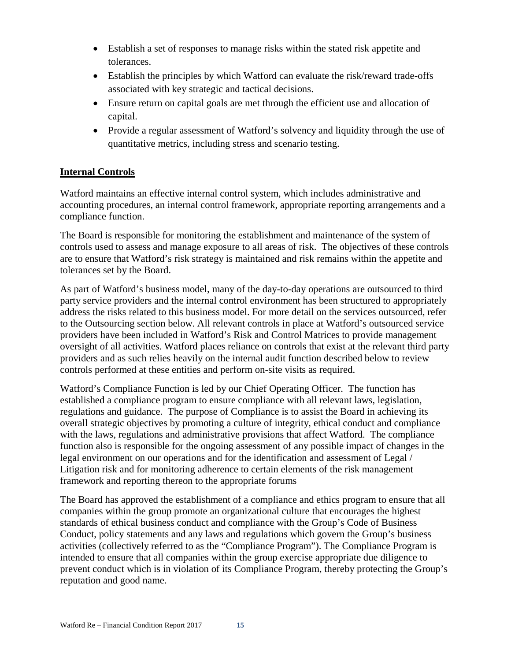- Establish a set of responses to manage risks within the stated risk appetite and tolerances.
- Establish the principles by which Watford can evaluate the risk/reward trade-offs associated with key strategic and tactical decisions.
- Ensure return on capital goals are met through the efficient use and allocation of capital.
- Provide a regular assessment of Watford's solvency and liquidity through the use of quantitative metrics, including stress and scenario testing.

## <span id="page-17-0"></span>**Internal Controls**

Watford maintains an effective internal control system, which includes administrative and accounting procedures, an internal control framework, appropriate reporting arrangements and a compliance function.

The Board is responsible for monitoring the establishment and maintenance of the system of controls used to assess and manage exposure to all areas of risk. The objectives of these controls are to ensure that Watford's risk strategy is maintained and risk remains within the appetite and tolerances set by the Board.

As part of Watford's business model, many of the day-to-day operations are outsourced to third party service providers and the internal control environment has been structured to appropriately address the risks related to this business model. For more detail on the services outsourced, refer to the Outsourcing section below. All relevant controls in place at Watford's outsourced service providers have been included in Watford's Risk and Control Matrices to provide management oversight of all activities. Watford places reliance on controls that exist at the relevant third party providers and as such relies heavily on the internal audit function described below to review controls performed at these entities and perform on-site visits as required.

Watford's Compliance Function is led by our Chief Operating Officer. The function has established a compliance program to ensure compliance with all relevant laws, legislation, regulations and guidance. The purpose of Compliance is to assist the Board in achieving its overall strategic objectives by promoting a culture of integrity, ethical conduct and compliance with the laws, regulations and administrative provisions that affect Watford. The compliance function also is responsible for the ongoing assessment of any possible impact of changes in the legal environment on our operations and for the identification and assessment of Legal / Litigation risk and for monitoring adherence to certain elements of the risk management framework and reporting thereon to the appropriate forums

The Board has approved the establishment of a compliance and ethics program to ensure that all companies within the group promote an organizational culture that encourages the highest standards of ethical business conduct and compliance with the Group's Code of Business Conduct, policy statements and any laws and regulations which govern the Group's business activities (collectively referred to as the "Compliance Program"). The Compliance Program is intended to ensure that all companies within the group exercise appropriate due diligence to prevent conduct which is in violation of its Compliance Program, thereby protecting the Group's reputation and good name.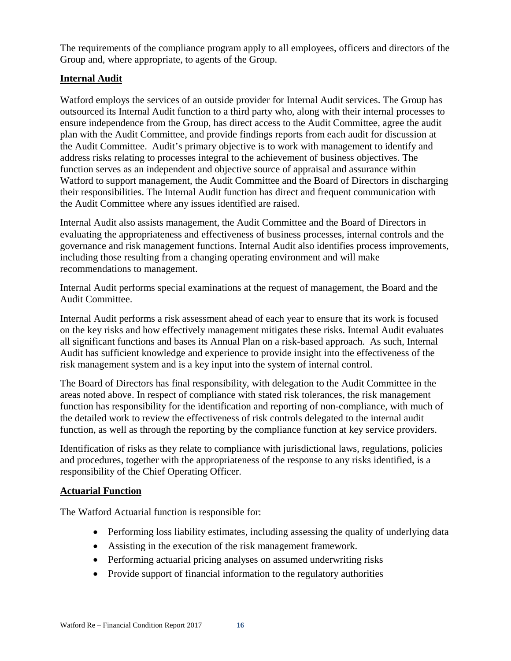The requirements of the compliance program apply to all employees, officers and directors of the Group and, where appropriate, to agents of the Group.

## <span id="page-18-0"></span>**Internal Audit**

Watford employs the services of an outside provider for Internal Audit services. The Group has outsourced its Internal Audit function to a third party who, along with their internal processes to ensure independence from the Group, has direct access to the Audit Committee, agree the audit plan with the Audit Committee, and provide findings reports from each audit for discussion at the Audit Committee. Audit's primary objective is to work with management to identify and address risks relating to processes integral to the achievement of business objectives. The function serves as an independent and objective source of appraisal and assurance within Watford to support management, the Audit Committee and the Board of Directors in discharging their responsibilities. The Internal Audit function has direct and frequent communication with the Audit Committee where any issues identified are raised.

Internal Audit also assists management, the Audit Committee and the Board of Directors in evaluating the appropriateness and effectiveness of business processes, internal controls and the governance and risk management functions. Internal Audit also identifies process improvements, including those resulting from a changing operating environment and will make recommendations to management.

Internal Audit performs special examinations at the request of management, the Board and the Audit Committee.

Internal Audit performs a risk assessment ahead of each year to ensure that its work is focused on the key risks and how effectively management mitigates these risks. Internal Audit evaluates all significant functions and bases its Annual Plan on a risk-based approach. As such, Internal Audit has sufficient knowledge and experience to provide insight into the effectiveness of the risk management system and is a key input into the system of internal control.

The Board of Directors has final responsibility, with delegation to the Audit Committee in the areas noted above. In respect of compliance with stated risk tolerances, the risk management function has responsibility for the identification and reporting of non-compliance, with much of the detailed work to review the effectiveness of risk controls delegated to the internal audit function, as well as through the reporting by the compliance function at key service providers.

Identification of risks as they relate to compliance with jurisdictional laws, regulations, policies and procedures, together with the appropriateness of the response to any risks identified, is a responsibility of the Chief Operating Officer.

#### <span id="page-18-1"></span>**Actuarial Function**

The Watford Actuarial function is responsible for:

- Performing loss liability estimates, including assessing the quality of underlying data
- Assisting in the execution of the risk management framework.
- Performing actuarial pricing analyses on assumed underwriting risks
- Provide support of financial information to the regulatory authorities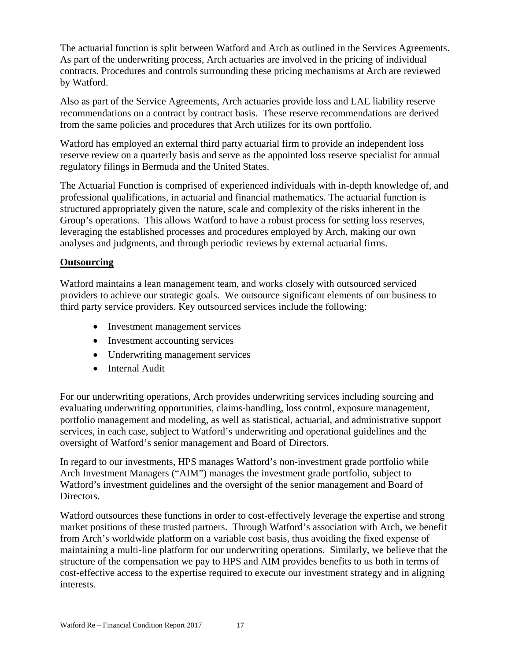The actuarial function is split between Watford and Arch as outlined in the Services Agreements. As part of the underwriting process, Arch actuaries are involved in the pricing of individual contracts. Procedures and controls surrounding these pricing mechanisms at Arch are reviewed by Watford.

Also as part of the Service Agreements, Arch actuaries provide loss and LAE liability reserve recommendations on a contract by contract basis. These reserve recommendations are derived from the same policies and procedures that Arch utilizes for its own portfolio.

Watford has employed an external third party actuarial firm to provide an independent loss reserve review on a quarterly basis and serve as the appointed loss reserve specialist for annual regulatory filings in Bermuda and the United States.

The Actuarial Function is comprised of experienced individuals with in-depth knowledge of, and professional qualifications, in actuarial and financial mathematics. The actuarial function is structured appropriately given the nature, scale and complexity of the risks inherent in the Group's operations. This allows Watford to have a robust process for setting loss reserves, leveraging the established processes and procedures employed by Arch, making our own analyses and judgments, and through periodic reviews by external actuarial firms.

## <span id="page-19-0"></span>**Outsourcing**

Watford maintains a lean management team, and works closely with outsourced serviced providers to achieve our strategic goals. We outsource significant elements of our business to third party service providers. Key outsourced services include the following:

- Investment management services
- Investment accounting services
- Underwriting management services
- Internal Audit

For our underwriting operations, Arch provides underwriting services including sourcing and evaluating underwriting opportunities, claims-handling, loss control, exposure management, portfolio management and modeling, as well as statistical, actuarial, and administrative support services, in each case, subject to Watford's underwriting and operational guidelines and the oversight of Watford's senior management and Board of Directors.

In regard to our investments, HPS manages Watford's non-investment grade portfolio while Arch Investment Managers ("AIM") manages the investment grade portfolio, subject to Watford's investment guidelines and the oversight of the senior management and Board of Directors.

Watford outsources these functions in order to cost-effectively leverage the expertise and strong market positions of these trusted partners. Through Watford's association with Arch, we benefit from Arch's worldwide platform on a variable cost basis, thus avoiding the fixed expense of maintaining a multi-line platform for our underwriting operations. Similarly, we believe that the structure of the compensation we pay to HPS and AIM provides benefits to us both in terms of cost-effective access to the expertise required to execute our investment strategy and in aligning interests.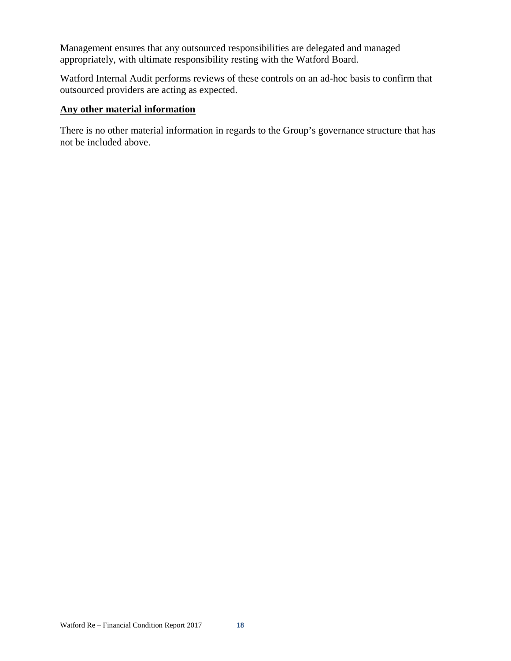Management ensures that any outsourced responsibilities are delegated and managed appropriately, with ultimate responsibility resting with the Watford Board.

Watford Internal Audit performs reviews of these controls on an ad-hoc basis to confirm that outsourced providers are acting as expected.

## <span id="page-20-0"></span>**Any other material information**

There is no other material information in regards to the Group's governance structure that has not be included above.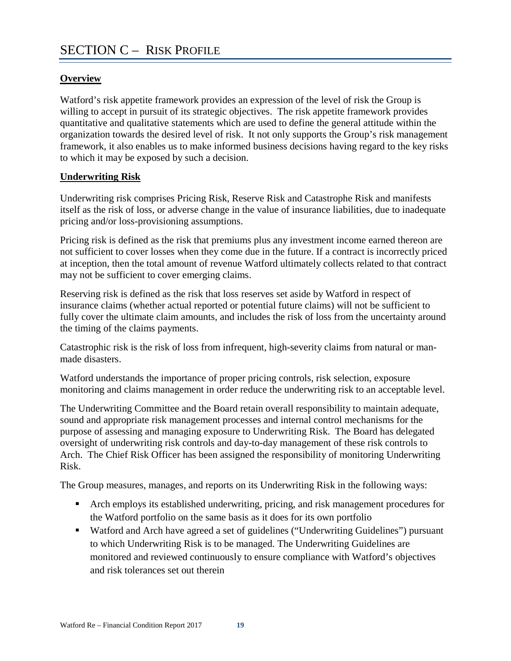## <span id="page-21-1"></span><span id="page-21-0"></span>**Overview**

Watford's risk appetite framework provides an expression of the level of risk the Group is willing to accept in pursuit of its strategic objectives. The risk appetite framework provides quantitative and qualitative statements which are used to define the general attitude within the organization towards the desired level of risk. It not only supports the Group's risk management framework, it also enables us to make informed business decisions having regard to the key risks to which it may be exposed by such a decision.

## <span id="page-21-2"></span>**Underwriting Risk**

Underwriting risk comprises Pricing Risk, Reserve Risk and Catastrophe Risk and manifests itself as the risk of loss, or adverse change in the value of insurance liabilities, due to inadequate pricing and/or loss-provisioning assumptions.

Pricing risk is defined as the risk that premiums plus any investment income earned thereon are not sufficient to cover losses when they come due in the future. If a contract is incorrectly priced at inception, then the total amount of revenue Watford ultimately collects related to that contract may not be sufficient to cover emerging claims.

Reserving risk is defined as the risk that loss reserves set aside by Watford in respect of insurance claims (whether actual reported or potential future claims) will not be sufficient to fully cover the ultimate claim amounts, and includes the risk of loss from the uncertainty around the timing of the claims payments.

Catastrophic risk is the risk of loss from infrequent, high-severity claims from natural or manmade disasters.

Watford understands the importance of proper pricing controls, risk selection, exposure monitoring and claims management in order reduce the underwriting risk to an acceptable level.

The Underwriting Committee and the Board retain overall responsibility to maintain adequate, sound and appropriate risk management processes and internal control mechanisms for the purpose of assessing and managing exposure to Underwriting Risk. The Board has delegated oversight of underwriting risk controls and day-to-day management of these risk controls to Arch. The Chief Risk Officer has been assigned the responsibility of monitoring Underwriting Risk.

The Group measures, manages, and reports on its Underwriting Risk in the following ways:

- Arch employs its established underwriting, pricing, and risk management procedures for the Watford portfolio on the same basis as it does for its own portfolio
- Watford and Arch have agreed a set of guidelines ("Underwriting Guidelines") pursuant to which Underwriting Risk is to be managed. The Underwriting Guidelines are monitored and reviewed continuously to ensure compliance with Watford's objectives and risk tolerances set out therein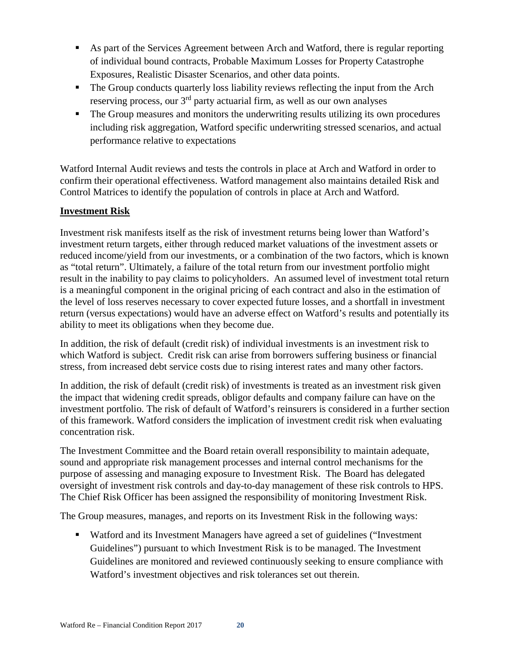- As part of the Services Agreement between Arch and Watford, there is regular reporting of individual bound contracts, Probable Maximum Losses for Property Catastrophe Exposures, Realistic Disaster Scenarios, and other data points.
- The Group conducts quarterly loss liability reviews reflecting the input from the Arch reserving process, our 3<sup>rd</sup> party actuarial firm, as well as our own analyses
- The Group measures and monitors the underwriting results utilizing its own procedures including risk aggregation, Watford specific underwriting stressed scenarios, and actual performance relative to expectations

Watford Internal Audit reviews and tests the controls in place at Arch and Watford in order to confirm their operational effectiveness. Watford management also maintains detailed Risk and Control Matrices to identify the population of controls in place at Arch and Watford.

## <span id="page-22-0"></span>**Investment Risk**

Investment risk manifests itself as the risk of investment returns being lower than Watford's investment return targets, either through reduced market valuations of the investment assets or reduced income/yield from our investments, or a combination of the two factors, which is known as "total return". Ultimately, a failure of the total return from our investment portfolio might result in the inability to pay claims to policyholders. An assumed level of investment total return is a meaningful component in the original pricing of each contract and also in the estimation of the level of loss reserves necessary to cover expected future losses, and a shortfall in investment return (versus expectations) would have an adverse effect on Watford's results and potentially its ability to meet its obligations when they become due.

In addition, the risk of default (credit risk) of individual investments is an investment risk to which Watford is subject. Credit risk can arise from borrowers suffering business or financial stress, from increased debt service costs due to rising interest rates and many other factors.

In addition, the risk of default (credit risk) of investments is treated as an investment risk given the impact that widening credit spreads, obligor defaults and company failure can have on the investment portfolio. The risk of default of Watford's reinsurers is considered in a further section of this framework. Watford considers the implication of investment credit risk when evaluating concentration risk.

The Investment Committee and the Board retain overall responsibility to maintain adequate, sound and appropriate risk management processes and internal control mechanisms for the purpose of assessing and managing exposure to Investment Risk. The Board has delegated oversight of investment risk controls and day-to-day management of these risk controls to HPS. The Chief Risk Officer has been assigned the responsibility of monitoring Investment Risk.

The Group measures, manages, and reports on its Investment Risk in the following ways:

 Watford and its Investment Managers have agreed a set of guidelines ("Investment Guidelines") pursuant to which Investment Risk is to be managed. The Investment Guidelines are monitored and reviewed continuously seeking to ensure compliance with Watford's investment objectives and risk tolerances set out therein.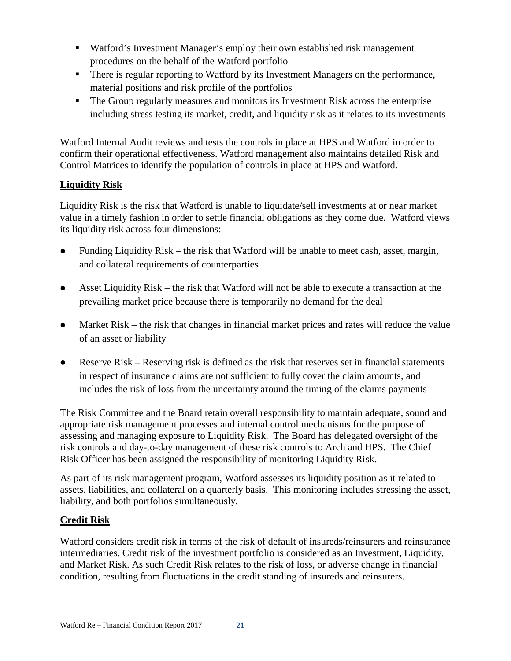- Watford's Investment Manager's employ their own established risk management procedures on the behalf of the Watford portfolio
- There is regular reporting to Watford by its Investment Managers on the performance, material positions and risk profile of the portfolios
- The Group regularly measures and monitors its Investment Risk across the enterprise including stress testing its market, credit, and liquidity risk as it relates to its investments

Watford Internal Audit reviews and tests the controls in place at HPS and Watford in order to confirm their operational effectiveness. Watford management also maintains detailed Risk and Control Matrices to identify the population of controls in place at HPS and Watford.

## <span id="page-23-0"></span>**Liquidity Risk**

Liquidity Risk is the risk that Watford is unable to liquidate/sell investments at or near market value in a timely fashion in order to settle financial obligations as they come due. Watford views its liquidity risk across four dimensions:

- Funding Liquidity Risk the risk that Watford will be unable to meet cash, asset, margin, and collateral requirements of counterparties
- Asset Liquidity Risk the risk that Watford will not be able to execute a transaction at the prevailing market price because there is temporarily no demand for the deal
- Market Risk the risk that changes in financial market prices and rates will reduce the value of an asset or liability
- Reserve Risk Reserving risk is defined as the risk that reserves set in financial statements in respect of insurance claims are not sufficient to fully cover the claim amounts, and includes the risk of loss from the uncertainty around the timing of the claims payments

The Risk Committee and the Board retain overall responsibility to maintain adequate, sound and appropriate risk management processes and internal control mechanisms for the purpose of assessing and managing exposure to Liquidity Risk. The Board has delegated oversight of the risk controls and day-to-day management of these risk controls to Arch and HPS. The Chief Risk Officer has been assigned the responsibility of monitoring Liquidity Risk.

As part of its risk management program, Watford assesses its liquidity position as it related to assets, liabilities, and collateral on a quarterly basis. This monitoring includes stressing the asset, liability, and both portfolios simultaneously.

## <span id="page-23-1"></span>**Credit Risk**

Watford considers credit risk in terms of the risk of default of insureds/reinsurers and reinsurance intermediaries. Credit risk of the investment portfolio is considered as an Investment, Liquidity, and Market Risk. As such Credit Risk relates to the risk of loss, or adverse change in financial condition, resulting from fluctuations in the credit standing of insureds and reinsurers.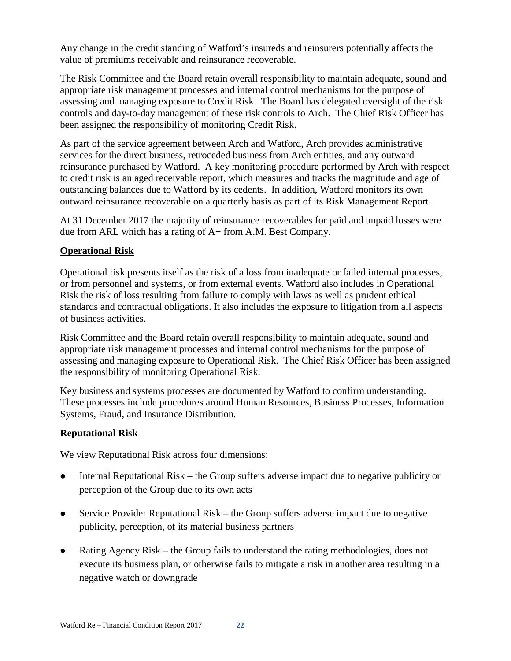Any change in the credit standing of Watford's insureds and reinsurers potentially affects the value of premiums receivable and reinsurance recoverable.

The Risk Committee and the Board retain overall responsibility to maintain adequate, sound and appropriate risk management processes and internal control mechanisms for the purpose of assessing and managing exposure to Credit Risk. The Board has delegated oversight of the risk controls and day-to-day management of these risk controls to Arch. The Chief Risk Officer has been assigned the responsibility of monitoring Credit Risk.

As part of the service agreement between Arch and Watford, Arch provides administrative services for the direct business, retroceded business from Arch entities, and any outward reinsurance purchased by Watford. A key monitoring procedure performed by Arch with respect to credit risk is an aged receivable report, which measures and tracks the magnitude and age of outstanding balances due to Watford by its cedents. In addition, Watford monitors its own outward reinsurance recoverable on a quarterly basis as part of its Risk Management Report.

At 31 December 2017 the majority of reinsurance recoverables for paid and unpaid losses were due from ARL which has a rating of A+ from A.M. Best Company.

## <span id="page-24-0"></span>**Operational Risk**

Operational risk presents itself as the risk of a loss from inadequate or failed internal processes, or from personnel and systems, or from external events. Watford also includes in Operational Risk the risk of loss resulting from failure to comply with laws as well as prudent ethical standards and contractual obligations. It also includes the exposure to litigation from all aspects of business activities.

Risk Committee and the Board retain overall responsibility to maintain adequate, sound and appropriate risk management processes and internal control mechanisms for the purpose of assessing and managing exposure to Operational Risk. The Chief Risk Officer has been assigned the responsibility of monitoring Operational Risk.

Key business and systems processes are documented by Watford to confirm understanding. These processes include procedures around Human Resources, Business Processes, Information Systems, Fraud, and Insurance Distribution.

## <span id="page-24-1"></span>**Reputational Risk**

We view Reputational Risk across four dimensions:

- Internal Reputational Risk the Group suffers adverse impact due to negative publicity or perception of the Group due to its own acts
- Service Provider Reputational Risk the Group suffers adverse impact due to negative publicity, perception, of its material business partners
- Rating Agency Risk the Group fails to understand the rating methodologies, does not execute its business plan, or otherwise fails to mitigate a risk in another area resulting in a negative watch or downgrade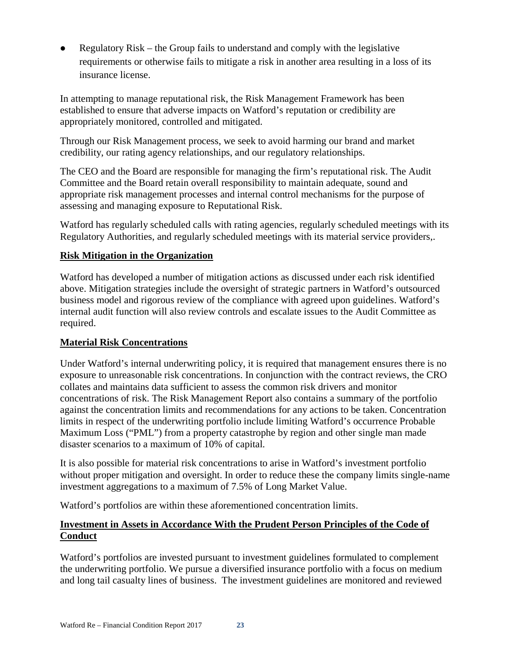Regulatory Risk – the Group fails to understand and comply with the legislative requirements or otherwise fails to mitigate a risk in another area resulting in a loss of its insurance license.

In attempting to manage reputational risk, the Risk Management Framework has been established to ensure that adverse impacts on Watford's reputation or credibility are appropriately monitored, controlled and mitigated.

Through our Risk Management process, we seek to avoid harming our brand and market credibility, our rating agency relationships, and our regulatory relationships.

The CEO and the Board are responsible for managing the firm's reputational risk. The Audit Committee and the Board retain overall responsibility to maintain adequate, sound and appropriate risk management processes and internal control mechanisms for the purpose of assessing and managing exposure to Reputational Risk.

Watford has regularly scheduled calls with rating agencies, regularly scheduled meetings with its Regulatory Authorities, and regularly scheduled meetings with its material service providers,.

## <span id="page-25-0"></span>**Risk Mitigation in the Organization**

Watford has developed a number of mitigation actions as discussed under each risk identified above. Mitigation strategies include the oversight of strategic partners in Watford's outsourced business model and rigorous review of the compliance with agreed upon guidelines. Watford's internal audit function will also review controls and escalate issues to the Audit Committee as required.

## <span id="page-25-1"></span>**Material Risk Concentrations**

Under Watford's internal underwriting policy, it is required that management ensures there is no exposure to unreasonable risk concentrations. In conjunction with the contract reviews, the CRO collates and maintains data sufficient to assess the common risk drivers and monitor concentrations of risk. The Risk Management Report also contains a summary of the portfolio against the concentration limits and recommendations for any actions to be taken. Concentration limits in respect of the underwriting portfolio include limiting Watford's occurrence Probable Maximum Loss ("PML") from a property catastrophe by region and other single man made disaster scenarios to a maximum of 10% of capital.

It is also possible for material risk concentrations to arise in Watford's investment portfolio without proper mitigation and oversight. In order to reduce these the company limits single-name investment aggregations to a maximum of 7.5% of Long Market Value.

Watford's portfolios are within these aforementioned concentration limits.

## <span id="page-25-2"></span>**Investment in Assets in Accordance With the Prudent Person Principles of the Code of Conduct**

Watford's portfolios are invested pursuant to investment guidelines formulated to complement the underwriting portfolio. We pursue a diversified insurance portfolio with a focus on medium and long tail casualty lines of business. The investment guidelines are monitored and reviewed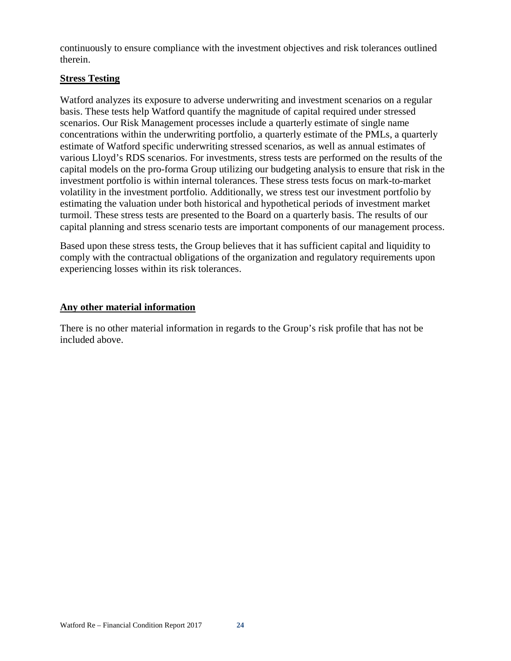continuously to ensure compliance with the investment objectives and risk tolerances outlined therein.

## <span id="page-26-0"></span>**Stress Testing**

Watford analyzes its exposure to adverse underwriting and investment scenarios on a regular basis. These tests help Watford quantify the magnitude of capital required under stressed scenarios. Our Risk Management processes include a quarterly estimate of single name concentrations within the underwriting portfolio, a quarterly estimate of the PMLs, a quarterly estimate of Watford specific underwriting stressed scenarios, as well as annual estimates of various Lloyd's RDS scenarios. For investments, stress tests are performed on the results of the capital models on the pro-forma Group utilizing our budgeting analysis to ensure that risk in the investment portfolio is within internal tolerances. These stress tests focus on mark-to-market volatility in the investment portfolio. Additionally, we stress test our investment portfolio by estimating the valuation under both historical and hypothetical periods of investment market turmoil. These stress tests are presented to the Board on a quarterly basis. The results of our capital planning and stress scenario tests are important components of our management process.

Based upon these stress tests, the Group believes that it has sufficient capital and liquidity to comply with the contractual obligations of the organization and regulatory requirements upon experiencing losses within its risk tolerances.

## <span id="page-26-1"></span>**Any other material information**

There is no other material information in regards to the Group's risk profile that has not be included above.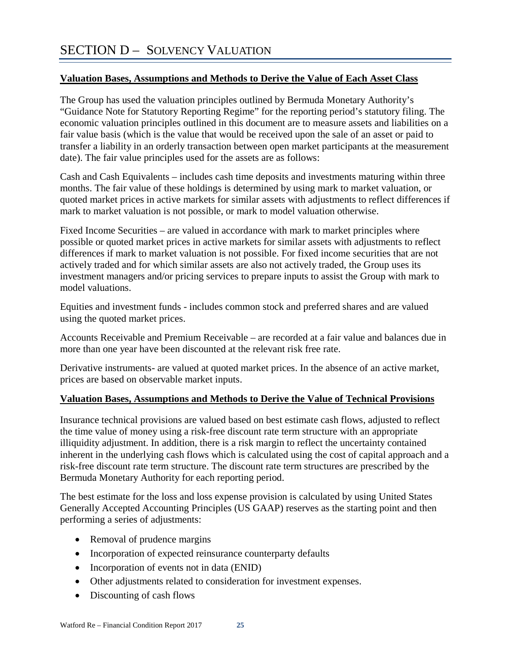## <span id="page-27-1"></span><span id="page-27-0"></span>**Valuation Bases, Assumptions and Methods to Derive the Value of Each Asset Class**

The Group has used the valuation principles outlined by Bermuda Monetary Authority's "Guidance Note for Statutory Reporting Regime" for the reporting period's statutory filing. The economic valuation principles outlined in this document are to measure assets and liabilities on a fair value basis (which is the value that would be received upon the sale of an asset or paid to transfer a liability in an orderly transaction between open market participants at the measurement date). The fair value principles used for the assets are as follows:

Cash and Cash Equivalents – includes cash time deposits and investments maturing within three months. The fair value of these holdings is determined by using mark to market valuation, or quoted market prices in active markets for similar assets with adjustments to reflect differences if mark to market valuation is not possible, or mark to model valuation otherwise.

Fixed Income Securities – are valued in accordance with mark to market principles where possible or quoted market prices in active markets for similar assets with adjustments to reflect differences if mark to market valuation is not possible. For fixed income securities that are not actively traded and for which similar assets are also not actively traded, the Group uses its investment managers and/or pricing services to prepare inputs to assist the Group with mark to model valuations.

Equities and investment funds - includes common stock and preferred shares and are valued using the quoted market prices.

Accounts Receivable and Premium Receivable – are recorded at a fair value and balances due in more than one year have been discounted at the relevant risk free rate.

Derivative instruments- are valued at quoted market prices. In the absence of an active market, prices are based on observable market inputs.

## <span id="page-27-2"></span>**Valuation Bases, Assumptions and Methods to Derive the Value of Technical Provisions**

Insurance technical provisions are valued based on best estimate cash flows, adjusted to reflect the time value of money using a risk-free discount rate term structure with an appropriate illiquidity adjustment. In addition, there is a risk margin to reflect the uncertainty contained inherent in the underlying cash flows which is calculated using the cost of capital approach and a risk-free discount rate term structure. The discount rate term structures are prescribed by the Bermuda Monetary Authority for each reporting period.

The best estimate for the loss and loss expense provision is calculated by using United States Generally Accepted Accounting Principles (US GAAP) reserves as the starting point and then performing a series of adjustments:

- Removal of prudence margins
- Incorporation of expected reinsurance counterparty defaults
- Incorporation of events not in data (ENID)
- Other adjustments related to consideration for investment expenses.
- Discounting of cash flows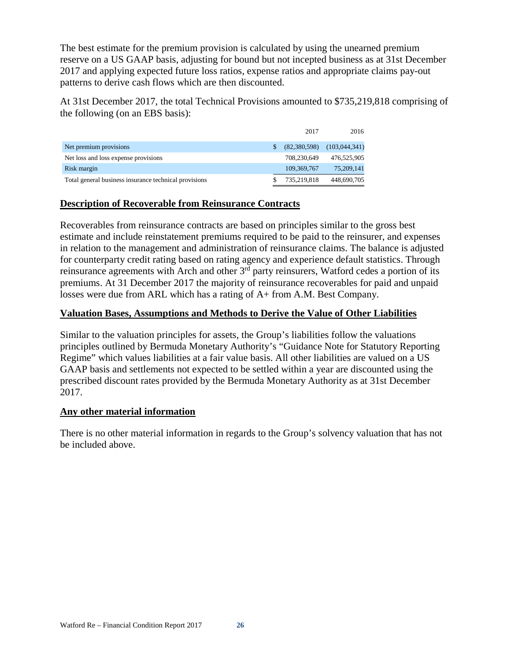The best estimate for the premium provision is calculated by using the unearned premium reserve on a US GAAP basis, adjusting for bound but not incepted business as at 31st December 2017 and applying expected future loss ratios, expense ratios and appropriate claims pay-out patterns to derive cash flows which are then discounted.

At 31st December 2017, the total Technical Provisions amounted to \$735,219,818 comprising of the following (on an EBS basis):

|                                                       | 2017               | 2016            |
|-------------------------------------------------------|--------------------|-----------------|
| Net premium provisions                                | \$<br>(82,380,598) | (103, 044, 341) |
| Net loss and loss expense provisions                  | 708,230,649        | 476,525,905     |
| Risk margin                                           | 109,369,767        | 75,209,141      |
| Total general business insurance technical provisions | 735,219,818        | 448,690,705     |

## <span id="page-28-0"></span>**Description of Recoverable from Reinsurance Contracts**

Recoverables from reinsurance contracts are based on principles similar to the gross best estimate and include reinstatement premiums required to be paid to the reinsurer, and expenses in relation to the management and administration of reinsurance claims. The balance is adjusted for counterparty credit rating based on rating agency and experience default statistics. Through reinsurance agreements with Arch and other 3rd party reinsurers, Watford cedes a portion of its premiums. At 31 December 2017 the majority of reinsurance recoverables for paid and unpaid losses were due from ARL which has a rating of A+ from A.M. Best Company.

## <span id="page-28-1"></span>**Valuation Bases, Assumptions and Methods to Derive the Value of Other Liabilities**

Similar to the valuation principles for assets, the Group's liabilities follow the valuations principles outlined by Bermuda Monetary Authority's "Guidance Note for Statutory Reporting Regime" which values liabilities at a fair value basis. All other liabilities are valued on a US GAAP basis and settlements not expected to be settled within a year are discounted using the prescribed discount rates provided by the Bermuda Monetary Authority as at 31st December 2017.

## <span id="page-28-2"></span>**Any other material information**

There is no other material information in regards to the Group's solvency valuation that has not be included above.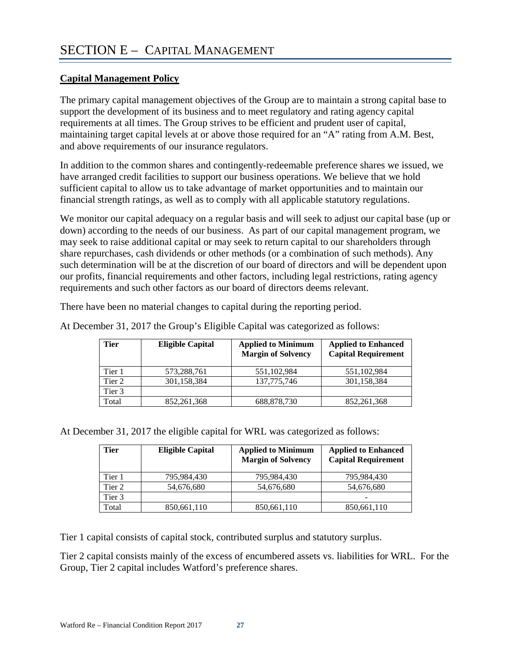## <span id="page-29-1"></span><span id="page-29-0"></span>**Capital Management Policy**

The primary capital management objectives of the Group are to maintain a strong capital base to support the development of its business and to meet regulatory and rating agency capital requirements at all times. The Group strives to be efficient and prudent user of capital, maintaining target capital levels at or above those required for an "A" rating from A.M. Best, and above requirements of our insurance regulators.

In addition to the common shares and contingently-redeemable preference shares we issued, we have arranged credit facilities to support our business operations. We believe that we hold sufficient capital to allow us to take advantage of market opportunities and to maintain our financial strength ratings, as well as to comply with all applicable statutory regulations.

We monitor our capital adequacy on a regular basis and will seek to adjust our capital base (up or down) according to the needs of our business. As part of our capital management program, we may seek to raise additional capital or may seek to return capital to our shareholders through share repurchases, cash dividends or other methods (or a combination of such methods). Any such determination will be at the discretion of our board of directors and will be dependent upon our profits, financial requirements and other factors, including legal restrictions, rating agency requirements and such other factors as our board of directors deems relevant.

There have been no material changes to capital during the reporting period.

| Tier   | <b>Eligible Capital</b> | <b>Applied to Minimum</b><br><b>Margin of Solvency</b> | <b>Applied to Enhanced</b><br><b>Capital Requirement</b> |
|--------|-------------------------|--------------------------------------------------------|----------------------------------------------------------|
| Tier 1 | 573,288,761             | 551,102,984                                            | 551,102,984                                              |
| Tier 2 | 301,158,384             | 137,775,746                                            | 301,158,384                                              |
| Tier 3 |                         |                                                        |                                                          |
| Total  | 852, 261, 368           | 688,878,730                                            | 852, 261, 368                                            |

At December 31, 2017 the Group's Eligible Capital was categorized as follows:

At December 31, 2017 the eligible capital for WRL was categorized as follows:

| Tier   | <b>Eligible Capital</b> | <b>Applied to Minimum</b><br><b>Margin of Solvency</b> | <b>Applied to Enhanced</b><br><b>Capital Requirement</b> |
|--------|-------------------------|--------------------------------------------------------|----------------------------------------------------------|
| Tier 1 | 795,984,430             | 795,984,430                                            | 795,984,430                                              |
| Tier 2 | 54,676,680              | 54,676,680                                             | 54,676,680                                               |
| Tier 3 |                         |                                                        |                                                          |
| Total  | 850,661,110             | 850,661,110                                            | 850,661,110                                              |

Tier 1 capital consists of capital stock, contributed surplus and statutory surplus.

Tier 2 capital consists mainly of the excess of encumbered assets vs. liabilities for WRL. For the Group, Tier 2 capital includes Watford's preference shares.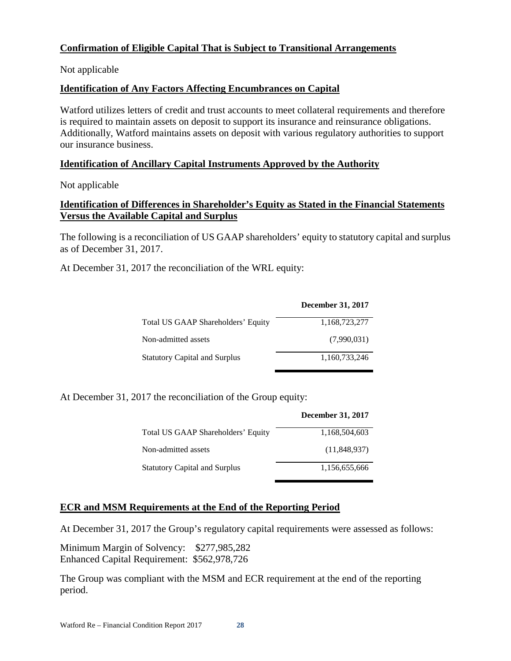## <span id="page-30-0"></span>**Confirmation of Eligible Capital That is Subject to Transitional Arrangements**

Not applicable

## <span id="page-30-1"></span>**Identification of Any Factors Affecting Encumbrances on Capital**

Watford utilizes letters of credit and trust accounts to meet collateral requirements and therefore is required to maintain assets on deposit to support its insurance and reinsurance obligations. Additionally, Watford maintains assets on deposit with various regulatory authorities to support our insurance business.

#### <span id="page-30-2"></span>**Identification of Ancillary Capital Instruments Approved by the Authority**

Not applicable

## <span id="page-30-3"></span>**Identification of Differences in Shareholder's Equity as Stated in the Financial Statements Versus the Available Capital and Surplus**

The following is a reconciliation of US GAAP shareholders' equity to statutory capital and surplus as of December 31, 2017.

At December 31, 2017 the reconciliation of the WRL equity:

|                                      | December 31, 2017 |
|--------------------------------------|-------------------|
| Total US GAAP Shareholders' Equity   | 1,168,723,277     |
| Non-admitted assets                  | (7,990,031)       |
| <b>Statutory Capital and Surplus</b> | 1,160,733,246     |

At December 31, 2017 the reconciliation of the Group equity:

|                                      | December 31, 2017 |
|--------------------------------------|-------------------|
| Total US GAAP Shareholders' Equity   | 1,168,504,603     |
| Non-admitted assets                  | (11,848,937)      |
| <b>Statutory Capital and Surplus</b> | 1,156,655,666     |

#### <span id="page-30-4"></span>**ECR and MSM Requirements at the End of the Reporting Period**

At December 31, 2017 the Group's regulatory capital requirements were assessed as follows:

Minimum Margin of Solvency: \$277,985,282 Enhanced Capital Requirement: \$562,978,726

The Group was compliant with the MSM and ECR requirement at the end of the reporting period.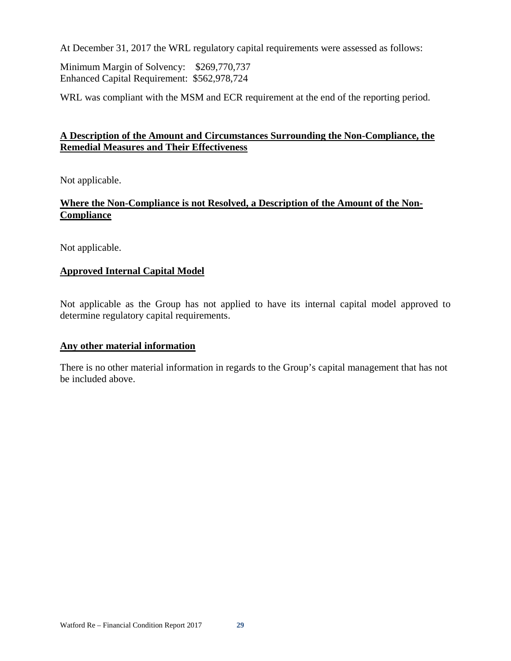At December 31, 2017 the WRL regulatory capital requirements were assessed as follows:

Minimum Margin of Solvency: \$269,770,737 Enhanced Capital Requirement: \$562,978,724

WRL was compliant with the MSM and ECR requirement at the end of the reporting period.

## <span id="page-31-0"></span>**A Description of the Amount and Circumstances Surrounding the Non-Compliance, the Remedial Measures and Their Effectiveness**

Not applicable.

## <span id="page-31-1"></span>**Where the Non-Compliance is not Resolved, a Description of the Amount of the Non-Compliance**

Not applicable.

## <span id="page-31-2"></span>**Approved Internal Capital Model**

Not applicable as the Group has not applied to have its internal capital model approved to determine regulatory capital requirements.

#### <span id="page-31-3"></span>**Any other material information**

There is no other material information in regards to the Group's capital management that has not be included above.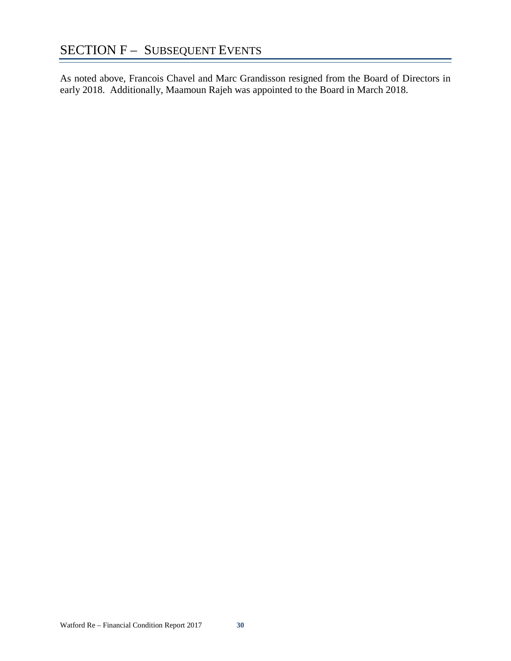<span id="page-32-0"></span>As noted above, Francois Chavel and Marc Grandisson resigned from the Board of Directors in early 2018. Additionally, Maamoun Rajeh was appointed to the Board in March 2018.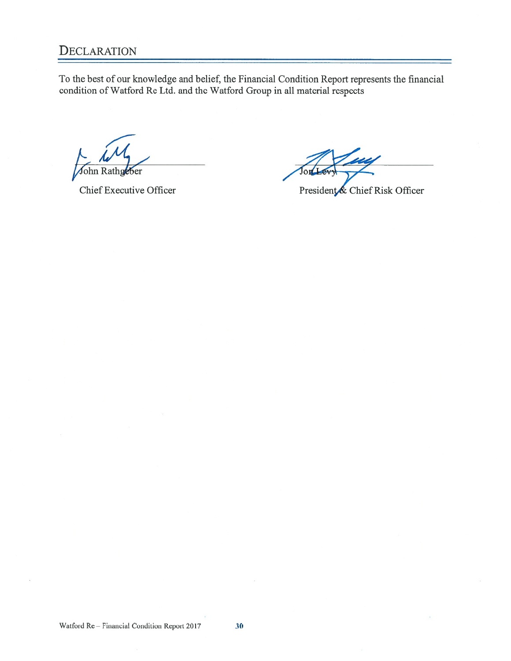## **DECLARATION**

To the best of our knowledge and belief, the Financial Condition Report represents the financial condition of Watford Re Ltd. and the Watford Group in all material respects

John Rathgeber

Chief Executive Officer

President& Chief Risk Officer